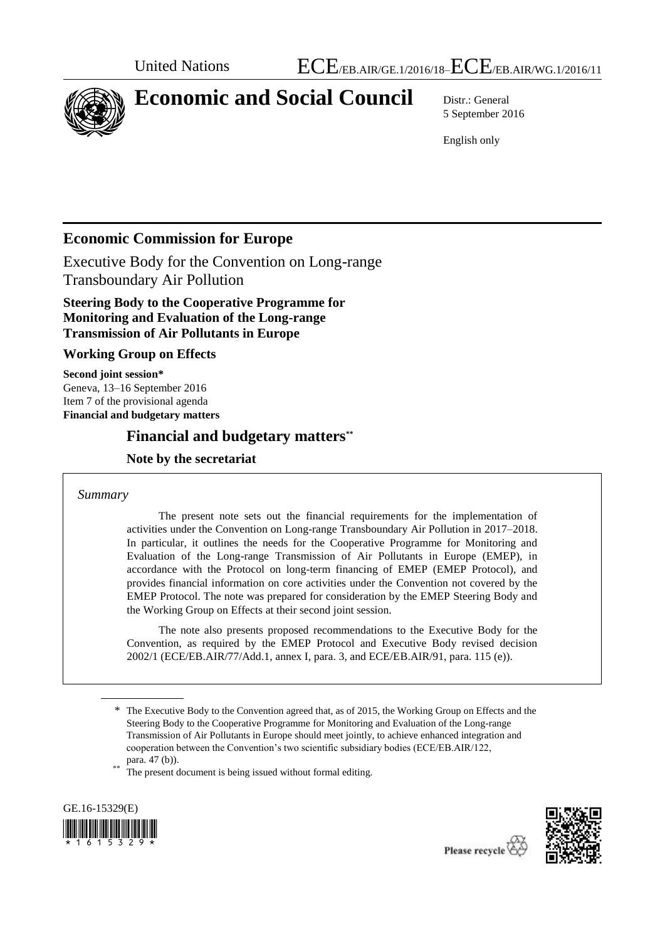

# **Economic and Social Council** Distr.: General

5 September 2016

English only

# **Economic Commission for Europe**

Executive Body for the Convention on Long-range Transboundary Air Pollution

# **Steering Body to the Cooperative Programme for Monitoring and Evaluation of the Long-range Transmission of Air Pollutants in Europe**

# **Working Group on Effects**

**Second joint session\*** Geneva, 13–16 September 2016 Item 7 of the provisional agenda **Financial and budgetary matters**

# **Financial and budgetary matters\*\***

# **Note by the secretariat**

### *Summary*

The present note sets out the financial requirements for the implementation of activities under the Convention on Long-range Transboundary Air Pollution in 2017–2018. In particular, it outlines the needs for the Cooperative Programme for Monitoring and Evaluation of the Long-range Transmission of Air Pollutants in Europe (EMEP), in accordance with the Protocol on long-term financing of EMEP (EMEP Protocol), and provides financial information on core activities under the Convention not covered by the EMEP Protocol. The note was prepared for consideration by the EMEP Steering Body and the Working Group on Effects at their second joint session.

The note also presents proposed recommendations to the Executive Body for the Convention, as required by the EMEP Protocol and Executive Body revised decision 2002/1 (ECE/EB.AIR/77/Add.1, annex I, para. 3, and ECE/EB.AIR/91, para. 115 (e)).

The present document is being issued without formal editing.





<sup>\*</sup> The Executive Body to the Convention agreed that, as of 2015, the Working Group on Effects and the Steering Body to the Cooperative Programme for Monitoring and Evaluation of the Long-range Transmission of Air Pollutants in Europe should meet jointly, to achieve enhanced integration and cooperation between the Convention's two scientific subsidiary bodies (ECE/EB.AIR/122, para. 47 (b)).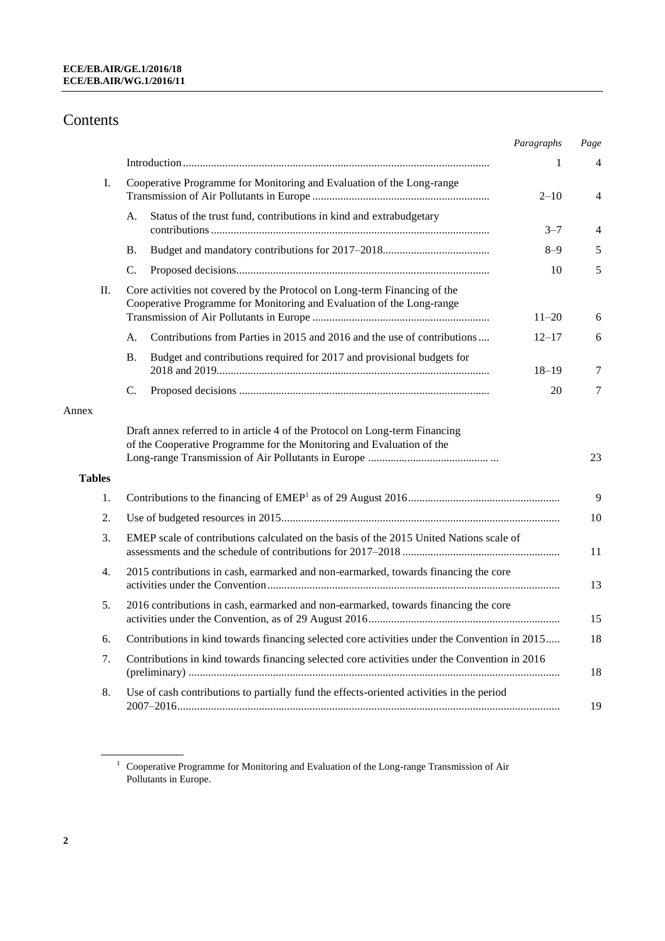# Contents

|               |                                                                                                                                                      | Paragraphs | Page |
|---------------|------------------------------------------------------------------------------------------------------------------------------------------------------|------------|------|
|               |                                                                                                                                                      | 1          | 4    |
| Ι.            | Cooperative Programme for Monitoring and Evaluation of the Long-range                                                                                | $2 - 10$   | 4    |
|               | Status of the trust fund, contributions in kind and extrabudgetary<br>А.                                                                             | $3 - 7$    | 4    |
|               | <b>B.</b>                                                                                                                                            | $8 - 9$    | 5    |
|               | C.                                                                                                                                                   | 10         | 5    |
| П.            | Core activities not covered by the Protocol on Long-term Financing of the<br>Cooperative Programme for Monitoring and Evaluation of the Long-range   | $11 - 20$  | 6    |
|               | Contributions from Parties in 2015 and 2016 and the use of contributions<br>A.                                                                       | $12 - 17$  | 6    |
|               | <b>B.</b><br>Budget and contributions required for 2017 and provisional budgets for                                                                  | $18 - 19$  | 7    |
|               | C.                                                                                                                                                   | 20         | 7    |
| Annex         |                                                                                                                                                      |            |      |
|               | Draft annex referred to in article 4 of the Protocol on Long-term Financing<br>of the Cooperative Programme for the Monitoring and Evaluation of the |            | 23   |
| <b>Tables</b> |                                                                                                                                                      |            |      |
| 1.            |                                                                                                                                                      |            | 9    |
| 2.            |                                                                                                                                                      |            | 10   |
| 3.            | EMEP scale of contributions calculated on the basis of the 2015 United Nations scale of                                                              |            | 11   |
| 4.            | 2015 contributions in cash, earmarked and non-earmarked, towards financing the core                                                                  |            | 13   |
| 5.            | 2016 contributions in cash, earmarked and non-earmarked, towards financing the core                                                                  |            | 15   |
| 6.            | Contributions in kind towards financing selected core activities under the Convention in 2015                                                        |            | 18   |
| 7.            | Contributions in kind towards financing selected core activities under the Convention in 2016                                                        |            | 18   |
| 8.            | Use of cash contributions to partially fund the effects-oriented activities in the period                                                            |            | 19   |
|               |                                                                                                                                                      |            |      |

 $1$  Cooperative Programme for Monitoring and Evaluation of the Long-range Transmission of Air Pollutants in Europe.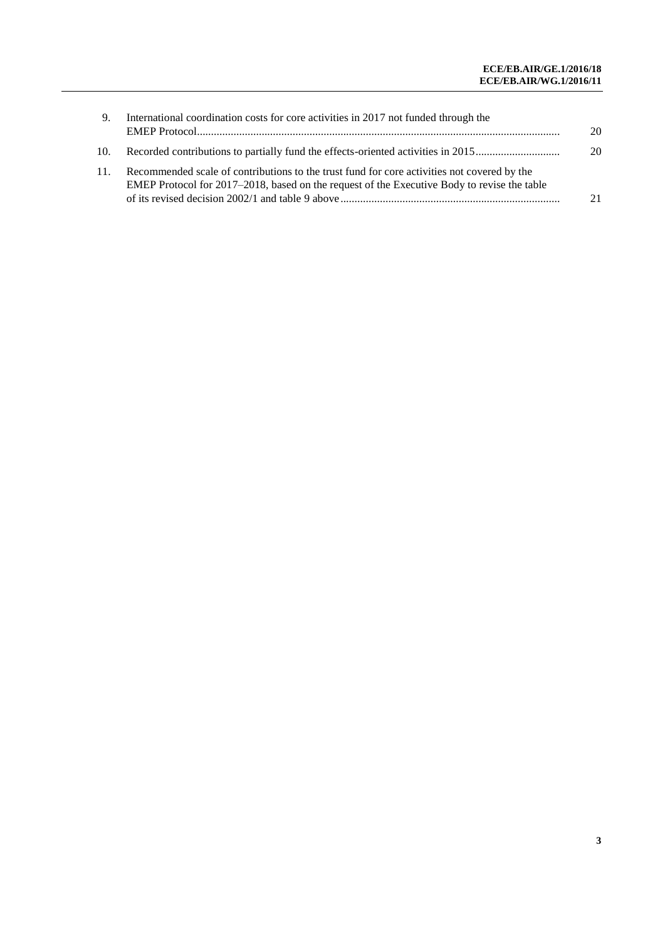| 9.  | International coordination costs for core activities in 2017 not funded through the                                                                                                        | 20 |
|-----|--------------------------------------------------------------------------------------------------------------------------------------------------------------------------------------------|----|
| 10. | Recorded contributions to partially fund the effects-oriented activities in 2015                                                                                                           | 20 |
| 11. | Recommended scale of contributions to the trust fund for core activities not covered by the<br>EMEP Protocol for 2017–2018, based on the request of the Executive Body to revise the table | 21 |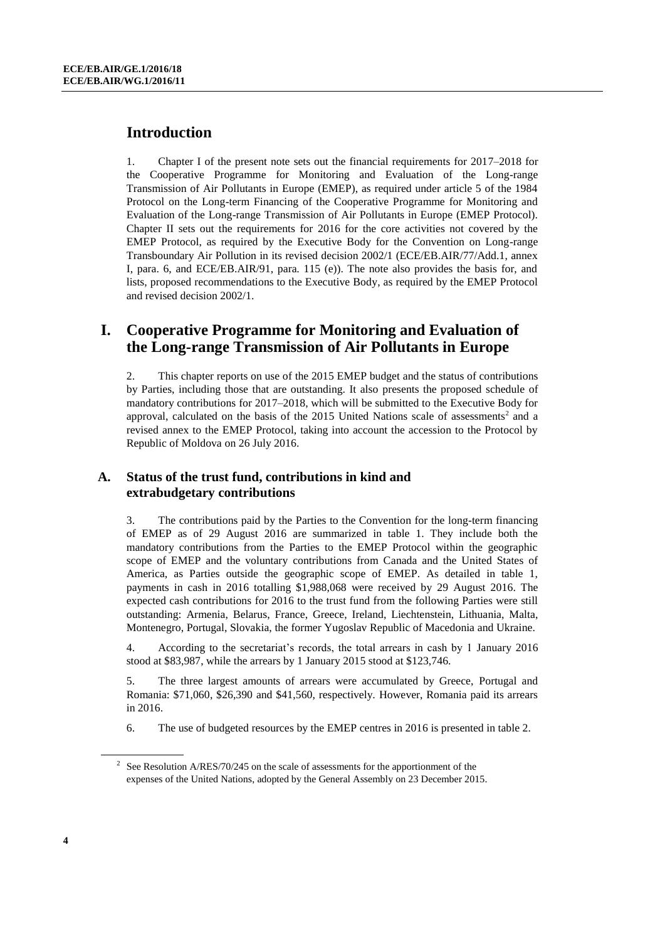# **Introduction**

1. Chapter I of the present note sets out the financial requirements for 2017–2018 for the Cooperative Programme for Monitoring and Evaluation of the Long-range Transmission of Air Pollutants in Europe (EMEP), as required under article 5 of the 1984 Protocol on the Long-term Financing of the Cooperative Programme for Monitoring and Evaluation of the Long-range Transmission of Air Pollutants in Europe (EMEP Protocol). Chapter II sets out the requirements for 2016 for the core activities not covered by the EMEP Protocol, as required by the Executive Body for the Convention on Long-range Transboundary Air Pollution in its revised decision 2002/1 (ECE/EB.AIR/77/Add.1, annex I, para. 6, and ECE/EB.AIR/91, para. 115 (e)). The note also provides the basis for, and lists, proposed recommendations to the Executive Body, as required by the EMEP Protocol and revised decision 2002/1.

# **I. Cooperative Programme for Monitoring and Evaluation of the Long-range Transmission of Air Pollutants in Europe**

2. This chapter reports on use of the 2015 EMEP budget and the status of contributions by Parties, including those that are outstanding. It also presents the proposed schedule of mandatory contributions for 2017–2018, which will be submitted to the Executive Body for approval, calculated on the basis of the  $2015$  United Nations scale of assessments<sup>2</sup> and a revised annex to the EMEP Protocol, taking into account the accession to the Protocol by Republic of Moldova on 26 July 2016.

# **A. Status of the trust fund, contributions in kind and extrabudgetary contributions**

3. The contributions paid by the Parties to the Convention for the long-term financing of EMEP as of 29 August 2016 are summarized in table 1. They include both the mandatory contributions from the Parties to the EMEP Protocol within the geographic scope of EMEP and the voluntary contributions from Canada and the United States of America, as Parties outside the geographic scope of EMEP. As detailed in table 1, payments in cash in 2016 totalling \$1,988,068 were received by 29 August 2016. The expected cash contributions for 2016 to the trust fund from the following Parties were still outstanding: Armenia, Belarus, France, Greece, Ireland, Liechtenstein, Lithuania, Malta, Montenegro, Portugal, Slovakia, the former Yugoslav Republic of Macedonia and Ukraine.

4. According to the secretariat's records, the total arrears in cash by 1 January 2016 stood at \$83,987, while the arrears by 1 January 2015 stood at \$123,746.

5. The three largest amounts of arrears were accumulated by Greece, Portugal and Romania: \$71,060, \$26,390 and \$41,560, respectively. However, Romania paid its arrears in 2016.

6. The use of budgeted resources by the EMEP centres in 2016 is presented in table 2.

<sup>&</sup>lt;sup>2</sup> See Resolution A/RES/70/245 on the scale of assessments for the apportionment of the expenses of the United Nations, adopted by the General Assembly on 23 December 2015.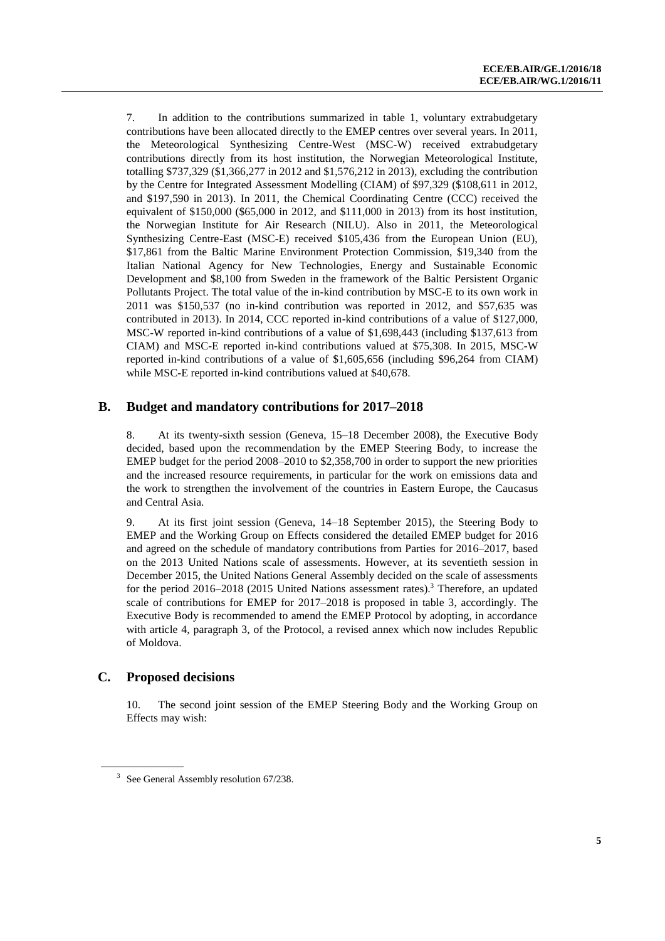7. In addition to the contributions summarized in table 1, voluntary extrabudgetary contributions have been allocated directly to the EMEP centres over several years. In 2011, the Meteorological Synthesizing Centre-West (MSC-W) received extrabudgetary contributions directly from its host institution, the Norwegian Meteorological Institute, totalling \$737,329 (\$1,366,277 in 2012 and \$1,576,212 in 2013), excluding the contribution by the Centre for Integrated Assessment Modelling (CIAM) of \$97,329 (\$108,611 in 2012, and \$197,590 in 2013). In 2011, the Chemical Coordinating Centre (CCC) received the equivalent of \$150,000 (\$65,000 in 2012, and \$111,000 in 2013) from its host institution, the Norwegian Institute for Air Research (NILU). Also in 2011, the Meteorological Synthesizing Centre-East (MSC-E) received \$105,436 from the European Union (EU), \$17,861 from the Baltic Marine Environment Protection Commission, \$19,340 from the Italian National Agency for New Technologies, Energy and Sustainable Economic Development and \$8,100 from Sweden in the framework of the Baltic Persistent Organic Pollutants Project. The total value of the in-kind contribution by MSC-E to its own work in 2011 was \$150,537 (no in-kind contribution was reported in 2012, and \$57,635 was contributed in 2013). In 2014, CCC reported in-kind contributions of a value of \$127,000, MSC-W reported in-kind contributions of a value of \$1,698,443 (including \$137,613 from CIAM) and MSC-E reported in-kind contributions valued at \$75,308. In 2015, MSC-W reported in-kind contributions of a value of \$1,605,656 (including \$96,264 from CIAM) while MSC-E reported in-kind contributions valued at \$40,678.

### **B. Budget and mandatory contributions for 2017–2018**

8. At its twenty-sixth session (Geneva, 15–18 December 2008), the Executive Body decided, based upon the recommendation by the EMEP Steering Body, to increase the EMEP budget for the period 2008–2010 to \$2,358,700 in order to support the new priorities and the increased resource requirements, in particular for the work on emissions data and the work to strengthen the involvement of the countries in Eastern Europe, the Caucasus and Central Asia.

9. At its first joint session (Geneva, 14–18 September 2015), the Steering Body to EMEP and the Working Group on Effects considered the detailed EMEP budget for 2016 and agreed on the schedule of mandatory contributions from Parties for 2016–2017, based on the 2013 United Nations scale of assessments. However, at its seventieth session in December 2015, the United Nations General Assembly decided on the scale of assessments for the period  $2016-2018$  (2015 United Nations assessment rates).<sup>3</sup> Therefore, an updated scale of contributions for EMEP for 2017–2018 is proposed in table 3, accordingly. The Executive Body is recommended to amend the EMEP Protocol by adopting, in accordance with article 4, paragraph 3, of the Protocol, a revised annex which now includes Republic of Moldova.

### **C. Proposed decisions**

10. The second joint session of the EMEP Steering Body and the Working Group on Effects may wish:

<sup>&</sup>lt;sup>3</sup> See General Assembly resolution 67/238.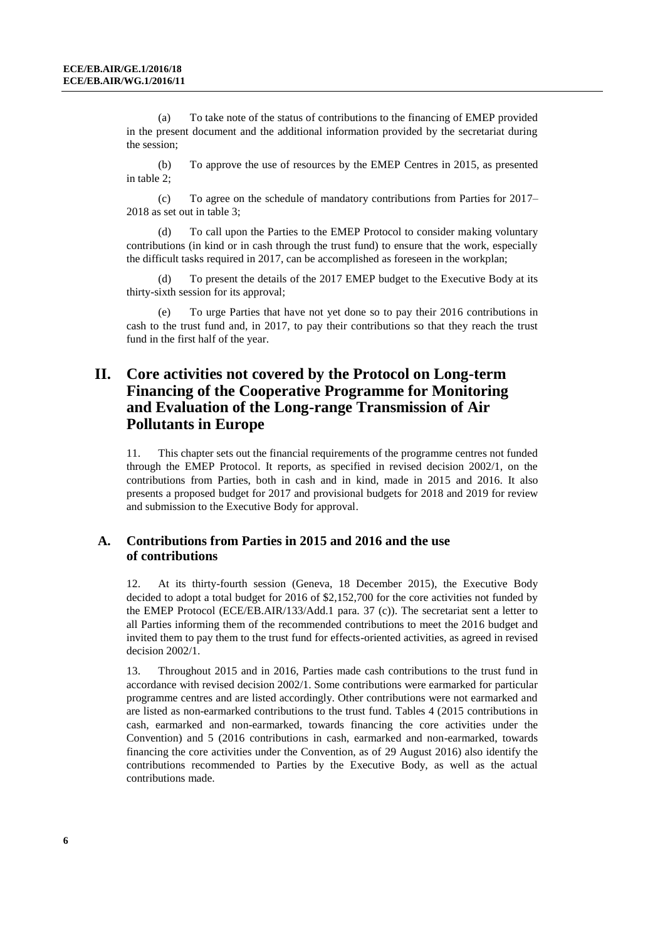(a) To take note of the status of contributions to the financing of EMEP provided in the present document and the additional information provided by the secretariat during the session;

(b) To approve the use of resources by the EMEP Centres in 2015, as presented in table 2;

(c) To agree on the schedule of mandatory contributions from Parties for 2017– 2018 as set out in table 3;

(d) To call upon the Parties to the EMEP Protocol to consider making voluntary contributions (in kind or in cash through the trust fund) to ensure that the work, especially the difficult tasks required in 2017, can be accomplished as foreseen in the workplan;

To present the details of the 2017 EMEP budget to the Executive Body at its thirty-sixth session for its approval;

(e) To urge Parties that have not yet done so to pay their 2016 contributions in cash to the trust fund and, in 2017, to pay their contributions so that they reach the trust fund in the first half of the year.

# **II. Core activities not covered by the Protocol on Long-term Financing of the Cooperative Programme for Monitoring and Evaluation of the Long-range Transmission of Air Pollutants in Europe**

11. This chapter sets out the financial requirements of the programme centres not funded through the EMEP Protocol. It reports, as specified in revised decision 2002/1, on the contributions from Parties, both in cash and in kind, made in 2015 and 2016. It also presents a proposed budget for 2017 and provisional budgets for 2018 and 2019 for review and submission to the Executive Body for approval.

## **A. Contributions from Parties in 2015 and 2016 and the use of contributions**

12. At its thirty-fourth session (Geneva, 18 December 2015), the Executive Body decided to adopt a total budget for 2016 of \$2,152,700 for the core activities not funded by the EMEP Protocol (ECE/EB.AIR/133/Add.1 para. 37 (c)). The secretariat sent a letter to all Parties informing them of the recommended contributions to meet the 2016 budget and invited them to pay them to the trust fund for effects-oriented activities, as agreed in revised decision 2002/1.

13. Throughout 2015 and in 2016, Parties made cash contributions to the trust fund in accordance with revised decision 2002/1. Some contributions were earmarked for particular programme centres and are listed accordingly. Other contributions were not earmarked and are listed as non-earmarked contributions to the trust fund. Tables 4 (2015 contributions in cash, earmarked and non-earmarked, towards financing the core activities under the Convention) and 5 (2016 contributions in cash, earmarked and non-earmarked, towards financing the core activities under the Convention, as of 29 August 2016) also identify the contributions recommended to Parties by the Executive Body, as well as the actual contributions made.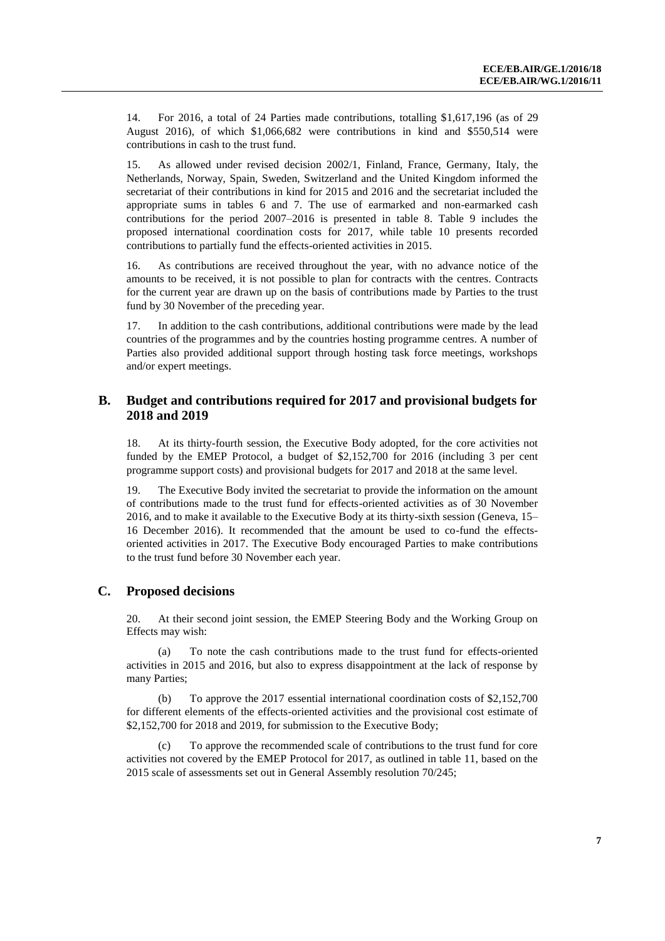14. For 2016, a total of 24 Parties made contributions, totalling \$1,617,196 (as of 29 August 2016), of which \$1,066,682 were contributions in kind and \$550,514 were contributions in cash to the trust fund.

15. As allowed under revised decision 2002/1, Finland, France, Germany, Italy, the Netherlands, Norway, Spain, Sweden, Switzerland and the United Kingdom informed the secretariat of their contributions in kind for 2015 and 2016 and the secretariat included the appropriate sums in tables 6 and 7. The use of earmarked and non-earmarked cash contributions for the period 2007–2016 is presented in table 8. Table 9 includes the proposed international coordination costs for 2017, while table 10 presents recorded contributions to partially fund the effects-oriented activities in 2015.

16. As contributions are received throughout the year, with no advance notice of the amounts to be received, it is not possible to plan for contracts with the centres. Contracts for the current year are drawn up on the basis of contributions made by Parties to the trust fund by 30 November of the preceding year.

17. In addition to the cash contributions, additional contributions were made by the lead countries of the programmes and by the countries hosting programme centres. A number of Parties also provided additional support through hosting task force meetings, workshops and/or expert meetings.

### **B. Budget and contributions required for 2017 and provisional budgets for 2018 and 2019**

18. At its thirty-fourth session, the Executive Body adopted, for the core activities not funded by the EMEP Protocol, a budget of \$2,152,700 for 2016 (including 3 per cent programme support costs) and provisional budgets for 2017 and 2018 at the same level.

19. The Executive Body invited the secretariat to provide the information on the amount of contributions made to the trust fund for effects-oriented activities as of 30 November 2016, and to make it available to the Executive Body at its thirty-sixth session (Geneva, 15– 16 December 2016). It recommended that the amount be used to co-fund the effectsoriented activities in 2017. The Executive Body encouraged Parties to make contributions to the trust fund before 30 November each year.

### **C. Proposed decisions**

20. At their second joint session, the EMEP Steering Body and the Working Group on Effects may wish:

To note the cash contributions made to the trust fund for effects-oriented activities in 2015 and 2016, but also to express disappointment at the lack of response by many Parties;

(b) To approve the 2017 essential international coordination costs of \$2,152,700 for different elements of the effects-oriented activities and the provisional cost estimate of \$2,152,700 for 2018 and 2019, for submission to the Executive Body;

To approve the recommended scale of contributions to the trust fund for core activities not covered by the EMEP Protocol for 2017, as outlined in table 11, based on the 2015 scale of assessments set out in General Assembly resolution 70/245;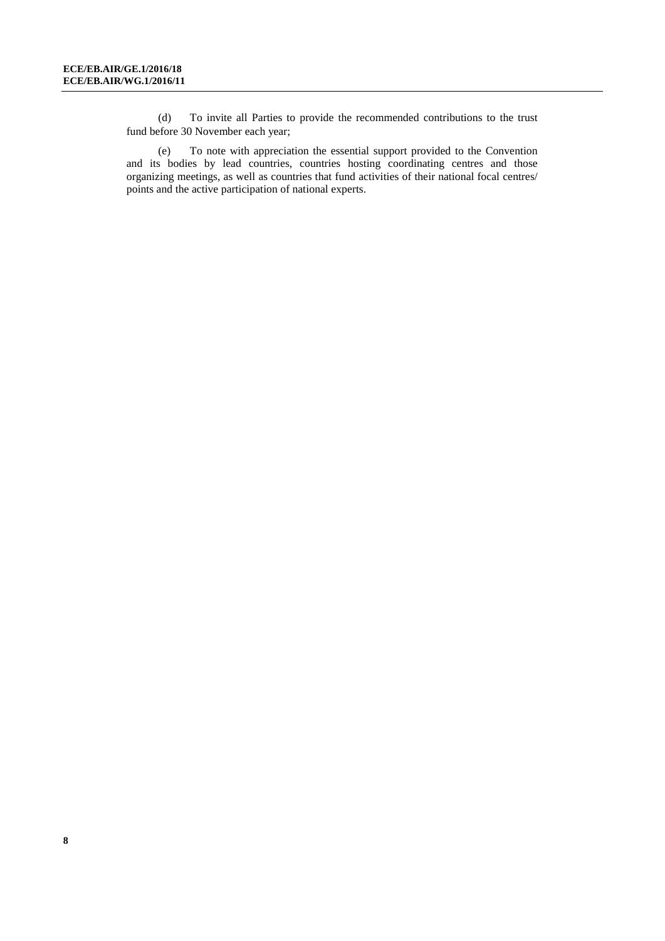(d) To invite all Parties to provide the recommended contributions to the trust fund before 30 November each year;

(e) To note with appreciation the essential support provided to the Convention and its bodies by lead countries, countries hosting coordinating centres and those organizing meetings, as well as countries that fund activities of their national focal centres/ points and the active participation of national experts.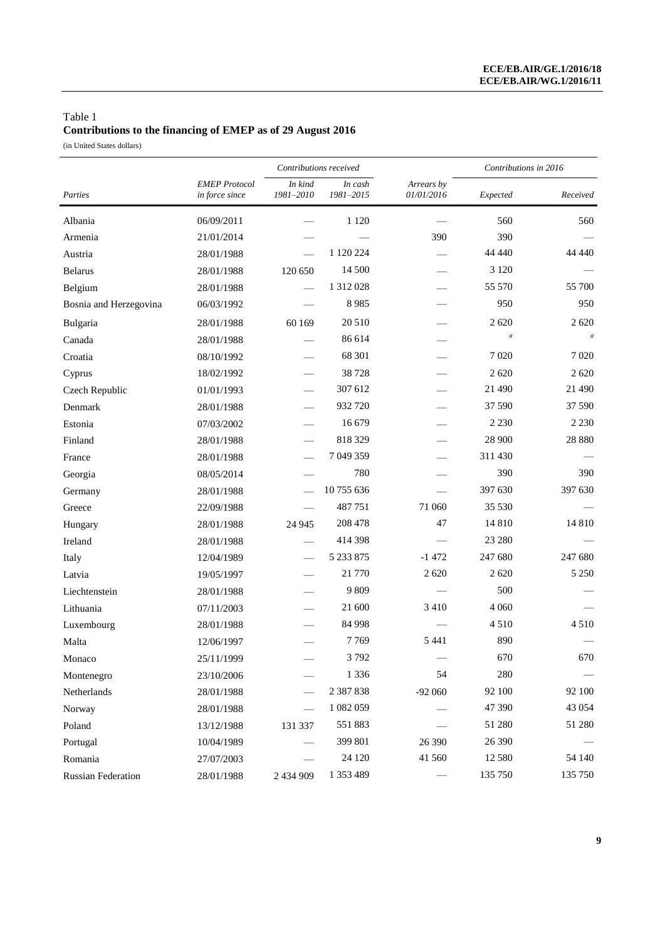# Table 1 **Contributions to the financing of EMEP as of 29 August 2016**

(in United States dollars)

|                        |                                        | Contributions received   |                      |                          | Contributions in 2016 |                  |
|------------------------|----------------------------------------|--------------------------|----------------------|--------------------------|-----------------------|------------------|
| Parties                | <b>EMEP</b> Protocol<br>in force since | In kind<br>1981-2010     | In cash<br>1981-2015 | Arrears by<br>01/01/2016 | Expected              | Received         |
| Albania                | 06/09/2011                             |                          | 1 1 2 0              |                          | 560                   | 560              |
| Armenia                | 21/01/2014                             |                          |                      | 390                      | 390                   |                  |
| Austria                | 28/01/1988                             |                          | 1 120 224            |                          | 44 440                | 44 440           |
| <b>Belarus</b>         | 28/01/1988                             | 120 650                  | 14 500               |                          | 3 1 2 0               |                  |
| Belgium                | 28/01/1988                             | $\overline{\phantom{0}}$ | 1 312 028            |                          | 55 570                | 55 700           |
| Bosnia and Herzegovina | 06/03/1992                             |                          | 8985                 |                          | 950                   | 950              |
| Bulgaria               | 28/01/1988                             | 60 169                   | 20 510               |                          | 2620                  | 2 6 2 0          |
| Canada                 | 28/01/1988                             |                          | 86 614               |                          | $\boldsymbol{a}$      | $\boldsymbol{a}$ |
| Croatia                | 08/10/1992                             |                          | 68 301               |                          | 7 0 20                | 7 0 20           |
| Cyprus                 | 18/02/1992                             |                          | 38 7 28              |                          | 2620                  | 2 6 2 0          |
| Czech Republic         | 01/01/1993                             |                          | 307 612              |                          | 21 490                | 21 490           |
| Denmark                | 28/01/1988                             |                          | 932 720              |                          | 37 590                | 37 590           |
| Estonia                | 07/03/2002                             |                          | 16 679               |                          | 2 2 3 0               | 2 2 3 0          |
| Finland                | 28/01/1988                             |                          | 818 329              |                          | 28 900                | 28 8 8 0         |
| France                 | 28/01/1988                             |                          | 7 049 359            |                          | 311 430               |                  |
| Georgia                | 08/05/2014                             |                          | 780                  |                          | 390                   | 390              |
| Germany                | 28/01/1988                             |                          | 10755636             |                          | 397 630               | 397 630          |
| Greece                 | 22/09/1988                             |                          | 487751               | 71 060                   | 35 530                |                  |
| Hungary                | 28/01/1988                             | 24 9 45                  | 208 478              | 47                       | 14 8 10               | 14 8 10          |
| Ireland                | 28/01/1988                             |                          | 414 398              |                          | 23 280                |                  |
| Italy                  | 12/04/1989                             |                          | 5 233 875            | $-1472$                  | 247 680               | 247 680          |
| Latvia                 | 19/05/1997                             |                          | 21 770               | 2 6 2 0                  | 2 6 2 0               | 5 2 5 0          |
| Liechtenstein          | 28/01/1988                             |                          | 9 8 0 9              |                          | 500                   |                  |
| Lithuania              | 07/11/2003                             |                          | 21 600               | 3 4 1 0                  | 4 0 6 0               |                  |
| Luxembourg             | 28/01/1988                             |                          | 84 998               |                          | 4510                  | 4510             |
| Malta                  | 12/06/1997                             |                          | 7769                 | 5 4 4 1                  | 890                   |                  |
| Monaco                 | 25/11/1999                             |                          | 3792                 |                          | 670                   | 670              |
| Montenegro             | 23/10/2006                             |                          | 1 3 3 6              | 54                       | 280                   |                  |
| Netherlands            | 28/01/1988                             |                          | 2 387 838            | $-92060$                 | 92 100                | 92 100           |
| Norway                 | 28/01/1988                             |                          | 1 082 059            |                          | 47 390                | 43 0 54          |
| Poland                 | 13/12/1988                             | 131 337                  | 551883               |                          | 51 280                | 51 280           |
| Portugal               | 10/04/1989                             |                          | 399 801              | 26 390                   | 26 390                |                  |
| Romania                | 27/07/2003                             |                          | 24 1 20              | 41 560                   | 12 580                | 54 140           |
| Russian Federation     | 28/01/1988                             | 2 434 909                | 1 353 489            |                          | 135 750               | 135 750          |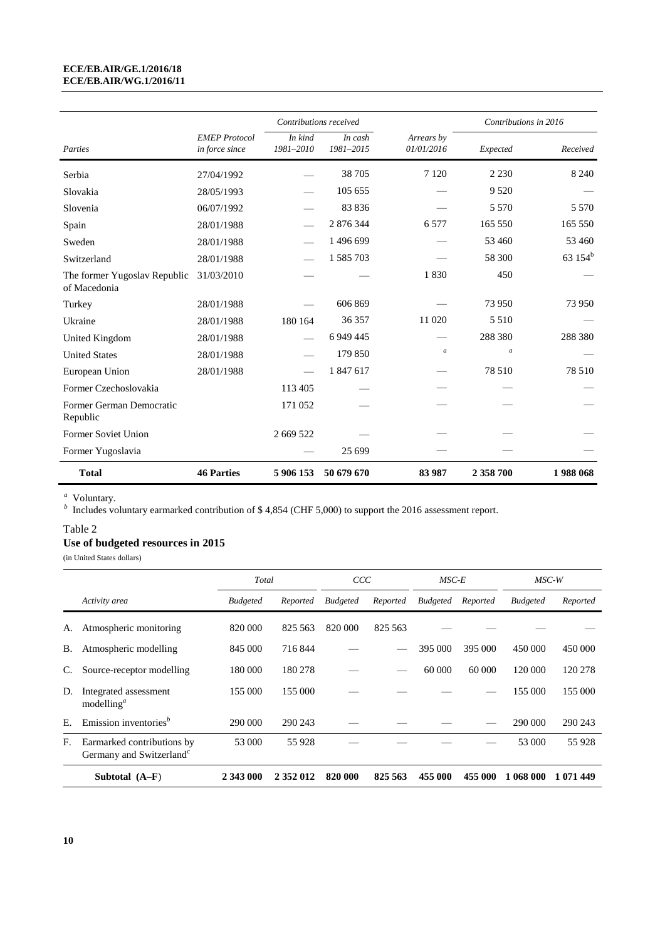#### **ECE/EB.AIR/GE.1/2016/18 ECE/EB.AIR/WG.1/2016/11**

|                                              |                                        | Contributions received |                      |                          | Contributions in 2016 |                     |
|----------------------------------------------|----------------------------------------|------------------------|----------------------|--------------------------|-----------------------|---------------------|
| Parties                                      | <b>EMEP</b> Protocol<br>in force since | In kind<br>1981-2010   | In cash<br>1981-2015 | Arrears by<br>01/01/2016 | Expected              | Received            |
| Serbia                                       | 27/04/1992                             |                        | 38 705               | 7 1 2 0                  | 2 2 3 0               | 8 2 4 0             |
| Slovakia                                     | 28/05/1993                             |                        | 105 655              |                          | 9 5 20                |                     |
| Slovenia                                     | 06/07/1992                             |                        | 83836                |                          | 5 5 7 0               | 5 5 7 0             |
| Spain                                        | 28/01/1988                             |                        | 2 876 344            | 6 5 7 7                  | 165 550               | 165 550             |
| Sweden                                       | 28/01/1988                             |                        | 1 496 699            |                          | 53 460                | 53 460              |
| Switzerland                                  | 28/01/1988                             |                        | 1 585 703            |                          | 58 300                | 63 154 <sup>b</sup> |
| The former Yugoslav Republic<br>of Macedonia | 31/03/2010                             |                        |                      | 1830                     | 450                   |                     |
| Turkey                                       | 28/01/1988                             |                        | 606 869              |                          | 73 950                | 73 950              |
| Ukraine                                      | 28/01/1988                             | 180 164                | 36 357               | 11 020                   | 5 5 1 0               |                     |
| United Kingdom                               | 28/01/1988                             |                        | 6 9 4 4 4 5          |                          | 288 380               | 288 380             |
| <b>United States</b>                         | 28/01/1988                             |                        | 179 850              | $\boldsymbol{a}$         | $\boldsymbol{a}$      |                     |
| European Union                               | 28/01/1988                             |                        | 1847617              |                          | 78 510                | 78 510              |
| Former Czechoslovakia                        |                                        | 113 405                |                      |                          |                       |                     |
| Former German Democratic<br>Republic         |                                        | 171 052                |                      |                          |                       |                     |
| Former Soviet Union                          |                                        | 2 669 522              |                      |                          |                       |                     |
| Former Yugoslavia                            |                                        |                        | 25 699               |                          |                       |                     |
| <b>Total</b>                                 | <b>46 Parties</b>                      | 5 906 153              | 50 679 670           | 83 987                   | 2 358 700             | 1988068             |

*a* Voluntary.

*b* Includes voluntary earmarked contribution of \$4,854 (CHF 5,000) to support the 2016 assessment report.

#### Table 2

### **Use of budgeted resources in 2015**

(in United States dollars)

|    |                                                                    | Total           |           | CCC             |          | MSC-E           |          | $MSC-W$         |           |
|----|--------------------------------------------------------------------|-----------------|-----------|-----------------|----------|-----------------|----------|-----------------|-----------|
|    | Activity area                                                      | <b>Budgeted</b> | Reported  | <b>Budgeted</b> | Reported | <b>Budgeted</b> | Reported | <b>Budgeted</b> | Reported  |
| А. | Atmospheric monitoring                                             | 820 000         | 825 563   | 820 000         | 825 563  |                 |          |                 |           |
| В. | Atmospheric modelling                                              | 845 000         | 716844    |                 |          | 395 000         | 395 000  | 450 000         | 450 000   |
|    | Source-receptor modelling                                          | 180 000         | 180 278   |                 |          | 60 000          | 60 000   | 120 000         | 120 278   |
| D. | Integrated assessment<br>modelling <sup>a</sup>                    | 155 000         | 155 000   |                 |          |                 |          | 155 000         | 155 000   |
| E. | Emission inventories <sup>b</sup>                                  | 290 000         | 290 243   |                 |          |                 |          | 290 000         | 290 243   |
| F. | Earmarked contributions by<br>Germany and Switzerland <sup>c</sup> | 53 000          | 55 928    |                 |          |                 |          | 53 000          | 55928     |
|    | Subtotal $(A-F)$                                                   | 2 343 000       | 2 352 012 | 820 000         | 825 563  | 455 000         | 455 000  | 1 068 000       | 1 071 449 |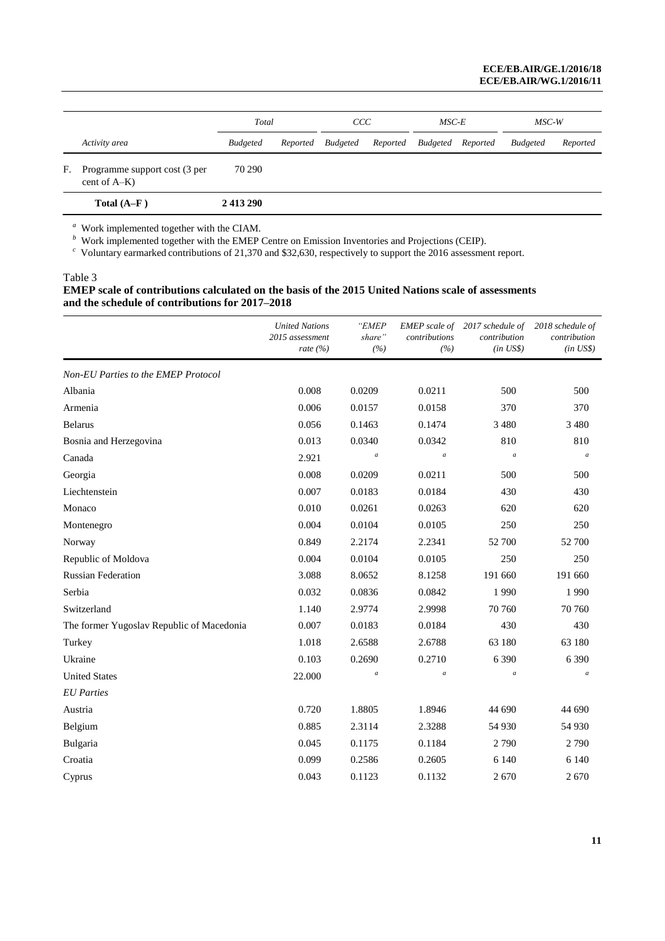|    |                                                  | Total           | <sub>CCC</sub>                               |  | MSC-E | $MSC-W$         |          |
|----|--------------------------------------------------|-----------------|----------------------------------------------|--|-------|-----------------|----------|
|    | Activity area                                    | <b>Budgeted</b> | Reported Budgeted Reported Budgeted Reported |  |       | <b>Budgeted</b> | Reported |
| F. | Programme support cost (3 per<br>cent of $A-K$ ) | 70 290          |                                              |  |       |                 |          |
|    | Total $(A-F)$                                    | 2413290         |                                              |  |       |                 |          |

*a* Work implemented together with the CIAM. *b* Work implemented together with the EMEP Centre on Emission Inventories and Projections (CEIP).

*c* Voluntary earmarked contributions of 21,370 and \$32,630, respectively to support the 2016 assessment report.

#### Table 3

#### **EMEP scale of contributions calculated on the basis of the 2015 United Nations scale of assessments and the schedule of contributions for 2017–2018**

|                                           | <b>United Nations</b><br>2015 assessment<br>rate $(\% )$ | "EMEP<br>share"<br>(%) | <b>EMEP</b> scale of<br>contributions<br>(%) | 2017 schedule of<br>contribution<br>$(in \; US\$ ) | 2018 schedule of<br>contribution<br>$(in \; US\$ ) |
|-------------------------------------------|----------------------------------------------------------|------------------------|----------------------------------------------|----------------------------------------------------|----------------------------------------------------|
| Non-EU Parties to the EMEP Protocol       |                                                          |                        |                                              |                                                    |                                                    |
| Albania                                   | 0.008                                                    | 0.0209                 | 0.0211                                       | 500                                                | 500                                                |
| Armenia                                   | 0.006                                                    | 0.0157                 | 0.0158                                       | 370                                                | 370                                                |
| <b>Belarus</b>                            | 0.056                                                    | 0.1463                 | 0.1474                                       | 3 4 8 0                                            | 3 4 8 0                                            |
| Bosnia and Herzegovina                    | 0.013                                                    | 0.0340                 | 0.0342                                       | 810                                                | 810                                                |
| Canada                                    | 2.921                                                    | $\boldsymbol{a}$       | $\boldsymbol{a}$                             | $\boldsymbol{a}$                                   | $\boldsymbol{a}$                                   |
| Georgia                                   | 0.008                                                    | 0.0209                 | 0.0211                                       | 500                                                | 500                                                |
| Liechtenstein                             | 0.007                                                    | 0.0183                 | 0.0184                                       | 430                                                | 430                                                |
| Monaco                                    | 0.010                                                    | 0.0261                 | 0.0263                                       | 620                                                | 620                                                |
| Montenegro                                | 0.004                                                    | 0.0104                 | 0.0105                                       | 250                                                | 250                                                |
| Norway                                    | 0.849                                                    | 2.2174                 | 2.2341                                       | 52 700                                             | 52 700                                             |
| Republic of Moldova                       | 0.004                                                    | 0.0104                 | 0.0105                                       | 250                                                | 250                                                |
| <b>Russian Federation</b>                 | 3.088                                                    | 8.0652                 | 8.1258                                       | 191 660                                            | 191 660                                            |
| Serbia                                    | 0.032                                                    | 0.0836                 | 0.0842                                       | 1 9 9 0                                            | 1990                                               |
| Switzerland                               | 1.140                                                    | 2.9774                 | 2.9998                                       | 70 760                                             | 70 760                                             |
| The former Yugoslav Republic of Macedonia | 0.007                                                    | 0.0183                 | 0.0184                                       | 430                                                | 430                                                |
| Turkey                                    | 1.018                                                    | 2.6588                 | 2.6788                                       | 63 180                                             | 63 180                                             |
| Ukraine                                   | 0.103                                                    | 0.2690                 | 0.2710                                       | 6 3 9 0                                            | 6 3 9 0                                            |
| <b>United States</b>                      | 22.000                                                   | $\overline{a}$         | $\boldsymbol{a}$                             | $\boldsymbol{a}$                                   | $\overline{a}$                                     |
| <b>EU</b> Parties                         |                                                          |                        |                                              |                                                    |                                                    |
| Austria                                   | 0.720                                                    | 1.8805                 | 1.8946                                       | 44 690                                             | 44 690                                             |
| Belgium                                   | 0.885                                                    | 2.3114                 | 2.3288                                       | 54 930                                             | 54 930                                             |
| Bulgaria                                  | 0.045                                                    | 0.1175                 | 0.1184                                       | 2790                                               | 2790                                               |
| Croatia                                   | 0.099                                                    | 0.2586                 | 0.2605                                       | 6 1 4 0                                            | 6 1 4 0                                            |
| Cyprus                                    | 0.043                                                    | 0.1123                 | 0.1132                                       | 2670                                               | 2670                                               |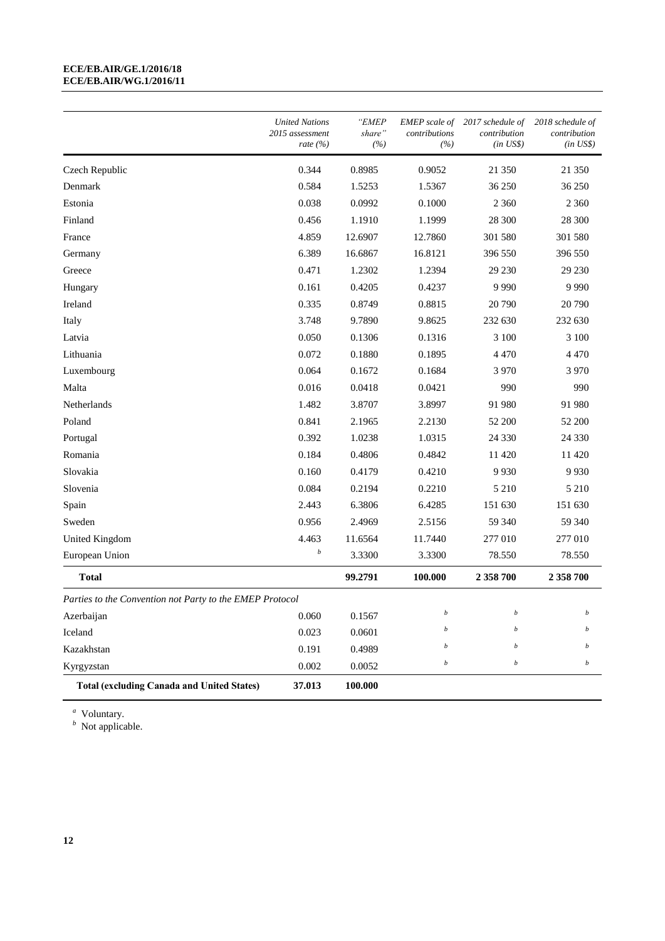#### **ECE/EB.AIR/GE.1/2016/18 ECE/EB.AIR/WG.1/2016/11**

|                                                          | <b>United Nations</b><br>2015 assessment<br>rate $(\% )$ | "EMEP<br>share"<br>(%) | <b>EMEP</b> scale of<br>contributions<br>(%) | 2017 schedule of<br>contribution<br>$(in \; US\$ ) | 2018 schedule of<br>contribution<br>$(in \; US\$ ) |
|----------------------------------------------------------|----------------------------------------------------------|------------------------|----------------------------------------------|----------------------------------------------------|----------------------------------------------------|
| Czech Republic                                           | 0.344                                                    | 0.8985                 | 0.9052                                       | 21 350                                             | 21 350                                             |
| Denmark                                                  | 0.584                                                    | 1.5253                 | 1.5367                                       | 36 250                                             | 36 250                                             |
| Estonia                                                  | 0.038                                                    | 0.0992                 | 0.1000                                       | 2 3 6 0                                            | 2 3 6 0                                            |
| Finland                                                  | 0.456                                                    | 1.1910                 | 1.1999                                       | 28 300                                             | 28 300                                             |
| France                                                   | 4.859                                                    | 12.6907                | 12.7860                                      | 301 580                                            | 301 580                                            |
| Germany                                                  | 6.389                                                    | 16.6867                | 16.8121                                      | 396 550                                            | 396 550                                            |
| Greece                                                   | 0.471                                                    | 1.2302                 | 1.2394                                       | 29 230                                             | 29 230                                             |
| Hungary                                                  | 0.161                                                    | 0.4205                 | 0.4237                                       | 9 9 9 0                                            | 9 9 9 0                                            |
| Ireland                                                  | 0.335                                                    | 0.8749                 | 0.8815                                       | 20 790                                             | 20 790                                             |
| Italy                                                    | 3.748                                                    | 9.7890                 | 9.8625                                       | 232 630                                            | 232 630                                            |
| Latvia                                                   | 0.050                                                    | 0.1306                 | 0.1316                                       | 3 100                                              | 3 100                                              |
| Lithuania                                                | 0.072                                                    | 0.1880                 | 0.1895                                       | 4 4 7 0                                            | 4 4 7 0                                            |
| Luxembourg                                               | 0.064                                                    | 0.1672                 | 0.1684                                       | 3 9 7 0                                            | 3 9 7 0                                            |
| Malta                                                    | 0.016                                                    | 0.0418                 | 0.0421                                       | 990                                                | 990                                                |
| Netherlands                                              | 1.482                                                    | 3.8707                 | 3.8997                                       | 91 980                                             | 91 980                                             |
| Poland                                                   | 0.841                                                    | 2.1965                 | 2.2130                                       | 52 200                                             | 52 200                                             |
| Portugal                                                 | 0.392                                                    | 1.0238                 | 1.0315                                       | 24 3 30                                            | 24 3 30                                            |
| Romania                                                  | 0.184                                                    | 0.4806                 | 0.4842                                       | 11 4 20                                            | 11 4 20                                            |
| Slovakia                                                 | 0.160                                                    | 0.4179                 | 0.4210                                       | 9 9 3 0                                            | 9930                                               |
| Slovenia                                                 | 0.084                                                    | 0.2194                 | 0.2210                                       | 5 2 1 0                                            | 5 2 1 0                                            |
| Spain                                                    | 2.443                                                    | 6.3806                 | 6.4285                                       | 151 630                                            | 151 630                                            |
| Sweden                                                   | 0.956                                                    | 2.4969                 | 2.5156                                       | 59 340                                             | 59 340                                             |
| United Kingdom                                           | 4.463                                                    | 11.6564                | 11.7440                                      | 277 010                                            | 277 010                                            |
| European Union                                           | $\boldsymbol{b}$                                         | 3.3300                 | 3.3300                                       | 78.550                                             | 78.550                                             |
| <b>Total</b>                                             |                                                          | 99.2791                | 100.000                                      | 2 358 700                                          | 2 358 700                                          |
| Parties to the Convention not Party to the EMEP Protocol |                                                          |                        |                                              |                                                    |                                                    |
| Azerbaijan                                               | 0.060                                                    | 0.1567                 | $\boldsymbol{b}$                             | $\boldsymbol{b}$                                   | b                                                  |
| Iceland                                                  | 0.023                                                    | 0.0601                 | b                                            | b                                                  | b                                                  |
| Kazakhstan                                               | 0.191                                                    | 0.4989                 | b                                            | $\boldsymbol{b}$                                   | b                                                  |
| Kyrgyzstan                                               | 0.002                                                    | 0.0052                 | $\boldsymbol{b}$                             | $\boldsymbol{b}$                                   | $\boldsymbol{b}$                                   |
| <b>Total (excluding Canada and United States)</b>        | 37.013                                                   | 100.000                |                                              |                                                    |                                                    |

<sup>*a*</sup> Voluntary.<br><sup>*b*</sup> Not applicable.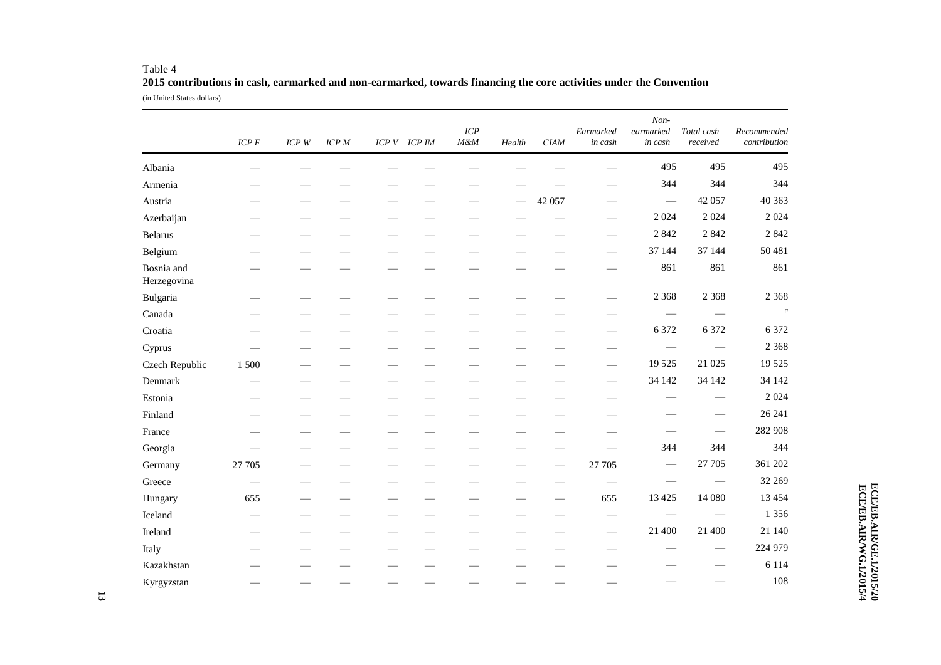|                           | $ICP$ $F$ | $ICP$ $W$ | ICPM | ICP V ICP IM | ICP<br>$M\&M$ | Health            | CIAM   | Earmarked<br>in cash          | Non-<br>earmarked<br>in cash  | Total cash<br>received | Recommended<br>contribution |
|---------------------------|-----------|-----------|------|--------------|---------------|-------------------|--------|-------------------------------|-------------------------------|------------------------|-----------------------------|
| Albania                   |           |           |      |              |               |                   |        |                               | 495                           | 495                    | 495                         |
| Armenia                   |           |           |      |              |               |                   |        |                               | 344                           | 344                    | 344                         |
| Austria                   |           |           |      |              |               |                   | 42 057 | $\overbrace{\phantom{13333}}$ |                               | 42 057                 | 40 363                      |
| Azerbaijan                |           |           |      |              |               |                   |        |                               | 2 0 2 4                       | 2 0 2 4                | 2 0 2 4                     |
| <b>Belarus</b>            |           |           |      |              |               |                   |        |                               | 2 8 4 2                       | 2 8 4 2                | 2 8 4 2                     |
| Belgium                   |           |           |      |              |               |                   |        |                               | 37 144                        | 37 144                 | 50 481                      |
| Bosnia and<br>Herzegovina |           |           |      |              |               |                   |        |                               | 861                           | 861                    | 861                         |
| Bulgaria                  |           |           |      |              |               |                   |        |                               | 2 3 6 8                       | 2 3 6 8                | 2 3 6 8                     |
| Canada                    |           |           |      |              |               |                   |        |                               |                               |                        | $\boldsymbol{a}$            |
| Croatia                   |           |           |      |              |               |                   |        |                               | 6 3 7 2                       | 6 3 7 2                | 6 3 7 2                     |
| Cyprus                    |           |           |      |              |               |                   |        |                               |                               |                        | 2 3 6 8                     |
| Czech Republic            | 1 500     |           |      |              |               |                   |        |                               | 19 5 25                       | 21 025                 | 19 5 25                     |
| Denmark                   |           |           |      |              |               |                   |        | $\overbrace{\phantom{aaaaa}}$ | 34 142                        | 34 142                 | 34 142                      |
| Estonia                   |           |           |      |              |               |                   |        |                               |                               |                        | 2 0 2 4                     |
| Finland                   |           |           |      |              |               |                   |        |                               |                               |                        | 26 24 1                     |
| France                    |           |           |      |              |               |                   |        |                               |                               |                        | 282 908                     |
| Georgia                   |           |           |      |              |               |                   |        |                               | 344                           | 344                    | 344                         |
| Germany                   | 27 705    |           |      |              |               |                   |        | 27 705                        |                               | 27 705                 | 361 202                     |
| Greece                    |           |           |      |              |               |                   |        | $\overbrace{\phantom{13333}}$ |                               |                        | 32 269                      |
| Hungary                   | 655       |           |      |              |               | $\hspace{0.05cm}$ |        | 655                           | 13 4 25                       | 14 080                 | 13 4 5 4                    |
| Iceland                   |           |           |      |              |               |                   |        |                               | $\overbrace{\phantom{aaaaa}}$ |                        | 1 3 5 6                     |
| Ireland                   |           |           |      |              |               |                   |        |                               | 21 400                        | 21 400                 | 21 140                      |
| Italy                     |           |           |      |              |               |                   |        |                               |                               |                        | 224 979                     |
| Kazakhstan                |           |           |      |              |               |                   |        |                               |                               |                        | 6 1 1 4                     |
| Kyrgyzstan                |           |           |      |              |               |                   |        |                               |                               |                        | 108                         |

#### Table 4 **2015 contributions in cash, earmarked and non-earmarked, towards financing the core activities under the Convention** (in United States dollars)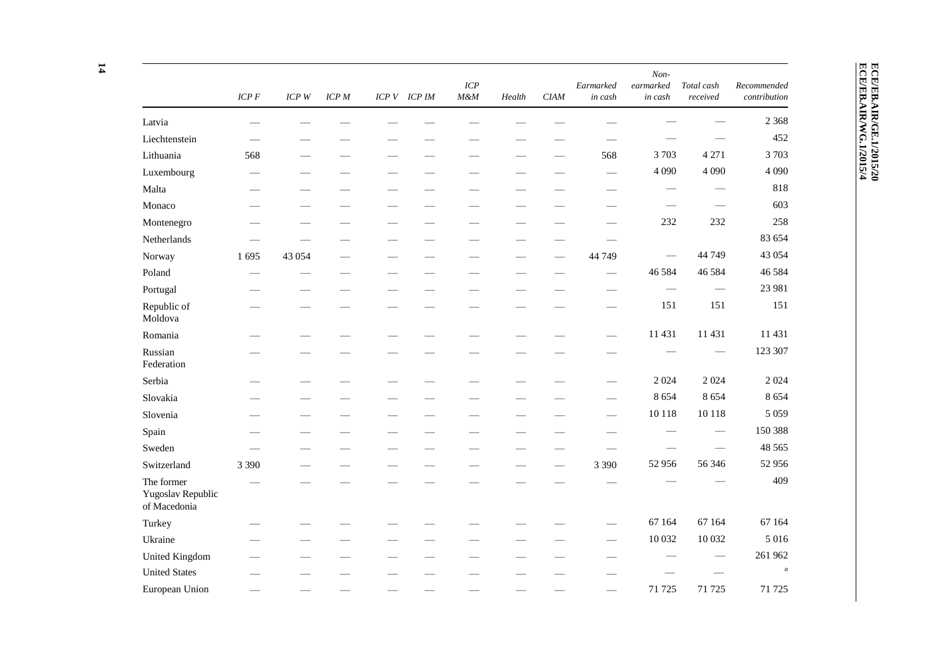|                                                 | $ICP$ $F$ | ICP W   | <b>ICP</b> M | ICP V ICP IM | ICP<br>$M\&M$ | Health                   | <b>CIAM</b> | Earmarked<br>in cash          | Non-<br>earmarked<br>in cash | Total cash<br>received          | Recommended<br>contribution |
|-------------------------------------------------|-----------|---------|--------------|--------------|---------------|--------------------------|-------------|-------------------------------|------------------------------|---------------------------------|-----------------------------|
| Latvia                                          |           |         |              |              |               |                          |             |                               |                              |                                 | 2 3 6 8                     |
| Liechtenstein                                   |           |         |              |              |               |                          |             |                               |                              |                                 | 452                         |
| Lithuania                                       | 568       |         |              |              |               |                          |             | 568                           | 3703                         | 4 2 7 1                         | 3703                        |
| Luxembourg                                      |           |         |              |              |               |                          |             |                               | 4 0 9 0                      | 4 0 9 0                         | 4 0 9 0                     |
| Malta                                           |           |         |              |              |               |                          |             |                               |                              |                                 | 818                         |
| Monaco                                          |           |         |              |              |               |                          |             |                               |                              | $\hspace{0.1mm}-\hspace{0.1mm}$ | 603                         |
| Montenegro                                      |           |         | -            |              |               |                          |             |                               | 232                          | 232                             | 258                         |
| Netherlands                                     |           |         |              |              |               |                          |             |                               |                              |                                 | 83 654                      |
| Norway                                          | 1695      | 43 0 54 |              |              |               |                          |             | 44 749                        |                              | 44 749                          | 43 054                      |
| Poland                                          |           |         |              |              |               |                          |             |                               | 46 5 84                      | 46 5 84                         | 46 5 84                     |
| Portugal                                        |           |         |              |              |               |                          |             |                               |                              |                                 | 23 981                      |
| Republic of<br>Moldova                          |           |         |              |              |               |                          |             |                               | 151                          | 151                             | 151                         |
| Romania                                         |           |         |              |              |               |                          |             |                               | 11 431                       | 11 431                          | 11 431                      |
| Russian<br>Federation                           |           |         |              |              |               |                          |             |                               |                              |                                 | 123 307                     |
| Serbia                                          |           |         |              |              |               |                          |             |                               | 2024                         | 2 0 2 4                         | 2 0 2 4                     |
| Slovakia                                        |           |         |              |              |               |                          |             |                               | 8654                         | 8 6 5 4                         | 8 6 5 4                     |
| Slovenia                                        |           |         |              |              |               |                          |             | $\overbrace{\phantom{13333}}$ | 10 118                       | 10 118                          | 5 0 5 9                     |
| Spain                                           |           |         |              |              |               |                          |             |                               |                              |                                 | 150 388                     |
| Sweden                                          |           |         |              |              |               | $\overline{\phantom{0}}$ |             |                               |                              |                                 | 48 5 65                     |
| Switzerland                                     | 3 3 9 0   |         |              |              |               |                          |             | 3 3 9 0                       | 52 956                       | 56 346                          | 52 956                      |
| The former<br>Yugoslav Republic<br>of Macedonia |           |         |              |              |               |                          |             |                               |                              |                                 | 409                         |
| Turkey                                          |           |         |              |              |               |                          |             |                               | 67 164                       | 67 164                          | 67 164                      |
| Ukraine                                         |           |         |              |              |               |                          |             |                               | 10 032                       | 10 032                          | 5 0 1 6                     |
| United Kingdom                                  |           |         |              |              |               |                          |             |                               |                              |                                 | 261 962                     |
| <b>United States</b>                            |           |         |              |              |               |                          |             |                               |                              |                                 | $\boldsymbol{a}$            |
| European Union                                  |           |         |              |              |               |                          |             |                               | 71 725                       | 71 725                          | 71 725                      |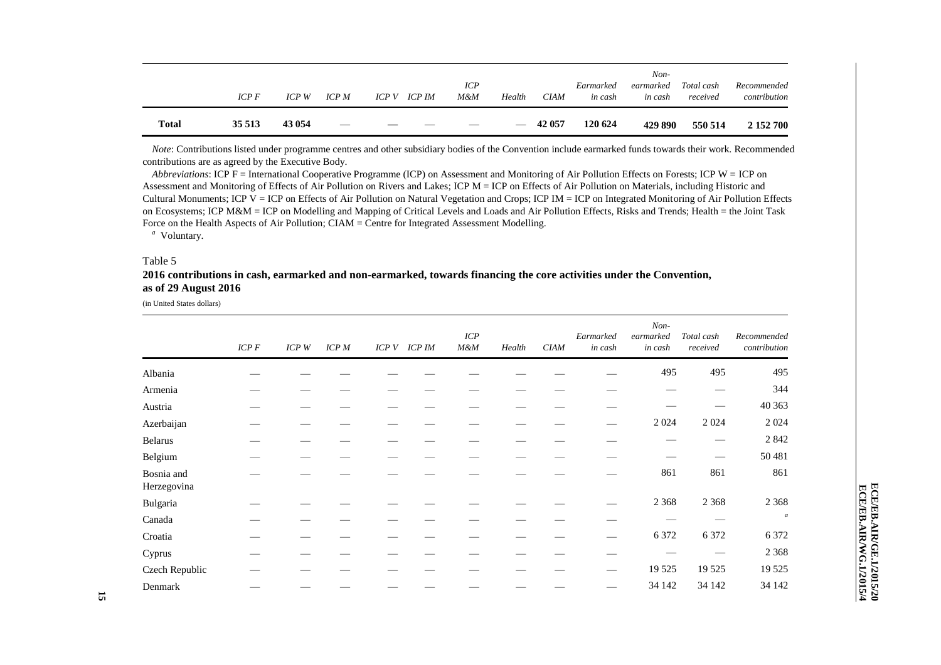| <b>Total</b> | 35 513 | 43 054  | $\hspace{0.05cm}$ | __   |               |                   | $\hspace{0.05cm}$ | 42 057 | 120 624              | 429 890              | 550 514                | 2 152 700                   |
|--------------|--------|---------|-------------------|------|---------------|-------------------|-------------------|--------|----------------------|----------------------|------------------------|-----------------------------|
|              | ICP F  | $ICP$ W | ICP M             | ICPV | <b>ICP IM</b> | <b>ICP</b><br>M&M | Health            | CIAM   | Earmarked<br>in cash | earmarked<br>in cash | Total cash<br>received | Recommended<br>contribution |
|              |        |         |                   |      |               |                   |                   |        |                      | $Non-$               |                        |                             |

*Note*: Contributions listed under programme centres and other subsidiary bodies of the Convention include earmarked funds towards their work. Recommended contributions are as agreed by the Executive Body.

*Abbreviations*: ICP F = International Cooperative Programme (ICP) on Assessment and Monitoring of Air Pollution Effects on Forests; ICP W = ICP on Assessment and Monitoring of Effects of Air Pollution on Rivers and Lakes; ICP M = ICP on Effects of Air Pollution on Materials, including Historic and Cultural Monuments; ICP V = ICP on Effects of Air Pollution on Natural Vegetation and Crops; ICP IM = ICP on Integrated Monitoring of Air Pollution Effects on Ecosystems; ICP M&M = ICP on Modelling and Mapping of Critical Levels and Loads and Air Pollution Effects, Risks and Trends; Health = the Joint Task Force on the Health Aspects of Air Pollution; CIAM = Centre for Integrated Assessment Modelling.

*a* Voluntary.

#### Table 5

#### **2016 contributions in cash, earmarked and non-earmarked, towards financing the core activities under the Convention, as of 29 August 2016**

(in United States dollars)

|                           | ICP F | ICP W | <b>ICP</b> M | ICP V ICP IM | ICP<br>M&M | Health | <b>CIAM</b> | Earmarked<br>in cash | Non-<br>earmarked<br>in cash | Total cash<br>received | Recommended<br>contribution |
|---------------------------|-------|-------|--------------|--------------|------------|--------|-------------|----------------------|------------------------------|------------------------|-----------------------------|
| Albania                   |       |       |              |              |            |        |             |                      | 495                          | 495                    | 495                         |
| Armenia                   |       |       |              |              |            |        |             |                      |                              |                        | 344                         |
| Austria                   |       |       |              |              |            |        |             |                      |                              |                        | 40 363                      |
| Azerbaijan                |       |       |              |              |            |        |             |                      | 2024                         | 2 0 2 4                | 2 0 2 4                     |
| <b>Belarus</b>            |       |       |              |              |            |        |             |                      |                              |                        | 2 8 4 2                     |
| Belgium                   |       |       |              |              |            |        |             |                      |                              |                        | 50 481                      |
| Bosnia and<br>Herzegovina |       |       |              |              |            |        |             |                      | 861                          | 861                    | 861                         |
| Bulgaria                  |       |       |              |              |            |        |             |                      | 2 3 6 8                      | 2 3 6 8                | 2 3 6 8                     |
| Canada                    |       |       |              |              |            |        |             |                      |                              |                        | $\boldsymbol{a}$            |
| Croatia                   |       |       |              |              |            |        |             |                      | 6 3 7 2                      | 6 3 7 2                | 6 3 7 2                     |
| Cyprus                    |       |       |              |              |            |        |             |                      |                              |                        | 2 3 6 8                     |
| Czech Republic            |       |       |              |              |            |        |             |                      | 19 5 25                      | 19 5 25                | 19 5 25                     |
| Denmark                   |       |       |              |              |            |        |             |                      | 34 142                       | 34 142                 | 34 142                      |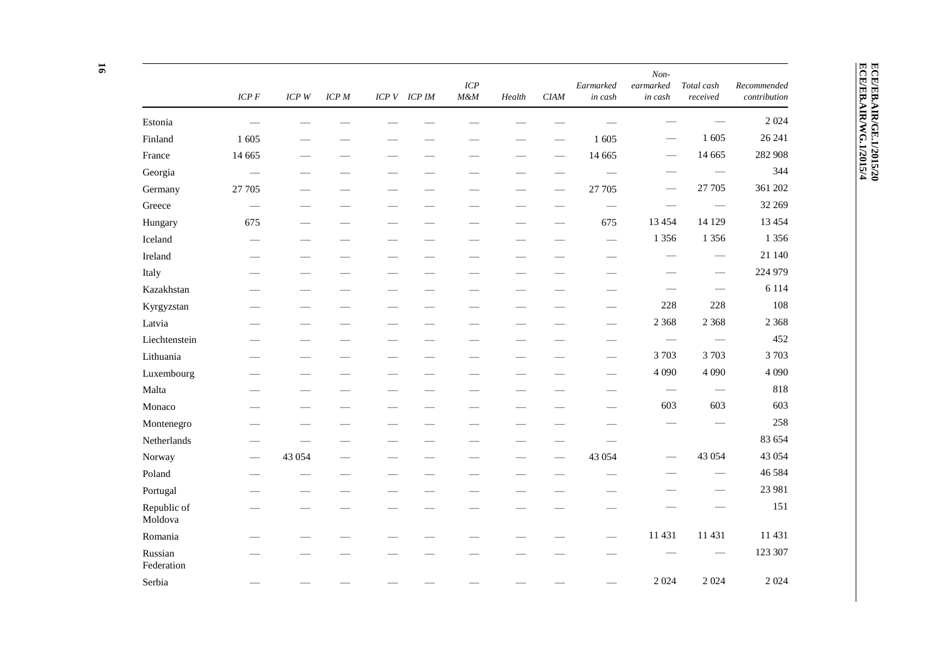| P.<br>٦ |  |
|---------|--|
|         |  |
|         |  |

|                        | $ICP$ $F$                | $ICP$ $W$ | ICP M                    | ICPV | <b>ICP IM</b> | ICP<br>$M\&M$                 | Health                      | <b>CIAM</b>                 | Earmarked<br>in cash            | Non-<br>$\emph{learnarked}$<br>in cash | Total cash<br>received          | Recommended<br>contribution |
|------------------------|--------------------------|-----------|--------------------------|------|---------------|-------------------------------|-----------------------------|-----------------------------|---------------------------------|----------------------------------------|---------------------------------|-----------------------------|
| Estonia                |                          |           |                          |      |               |                               |                             |                             |                                 |                                        |                                 | 2 0 2 4                     |
| Finland                | 1 605                    |           |                          |      |               |                               |                             |                             | 1 605                           |                                        | 1 605                           | 26 24 1                     |
| France                 | 14 6 65                  |           |                          |      |               |                               | $\overbrace{\hspace{15em}}$ |                             | 14 6 65                         | $\overline{\phantom{0}}$               | 14 6 65                         | 282 908                     |
| Georgia                |                          |           | $\overline{\phantom{0}}$ |      |               |                               | -                           |                             |                                 |                                        |                                 | 344                         |
| Germany                | 27 705                   |           |                          |      |               |                               |                             |                             | 27 705                          |                                        | 27 705                          | 361 202                     |
| Greece                 |                          |           | —                        |      |               |                               | -                           |                             | $\overbrace{\phantom{aaaaa}}$   |                                        |                                 | 32 269                      |
| Hungary                | 675                      |           | $\overline{\phantom{0}}$ |      |               |                               |                             |                             | 675                             | 13 4 5 4                               | 14 129                          | 13 4 5 4                    |
| Iceland                |                          |           | $\overline{\phantom{0}}$ |      |               |                               | -                           |                             |                                 | 1 3 5 6                                | 1 3 5 6                         | 1 3 5 6                     |
| Ireland                | $\overline{\phantom{0}}$ |           |                          |      |               |                               |                             |                             |                                 |                                        |                                 | 21 140                      |
| Italy                  |                          |           |                          |      |               |                               |                             | $\overline{\phantom{0}}$    |                                 |                                        | $\hspace{0.05cm}$               | 224 979                     |
| Kazakhstan             |                          |           | —                        |      |               | $\overbrace{\phantom{12333}}$ |                             |                             |                                 |                                        |                                 | 6 1 1 4                     |
| Kyrgyzstan             |                          |           |                          |      |               |                               |                             |                             |                                 | 228                                    | 228                             | 108                         |
| Latvia                 |                          |           |                          |      |               |                               |                             |                             |                                 | 2 3 6 8                                | 2 3 6 8                         | 2 3 6 8                     |
| Liechtenstein          |                          |           |                          |      |               |                               | —<br>—                      |                             |                                 |                                        | $\qquad \qquad -$               | 452                         |
| Lithuania              |                          |           |                          |      |               |                               |                             |                             |                                 | 3703                                   | 3703                            | 3703                        |
| Luxembourg             |                          |           |                          |      |               |                               |                             |                             |                                 | 4 0 9 0                                | 4 0 9 0                         | 4 0 9 0                     |
| Malta                  |                          |           |                          |      |               |                               |                             |                             |                                 |                                        | $\hspace{0.1mm}-\hspace{0.1mm}$ | 818                         |
| Monaco                 |                          |           |                          |      |               |                               |                             |                             |                                 | 603                                    | 603                             | 603                         |
| Montenegro             |                          |           |                          |      |               |                               |                             |                             |                                 |                                        |                                 | 258                         |
| Netherlands            |                          |           |                          |      |               |                               |                             |                             |                                 |                                        |                                 | 83 654                      |
| Norway                 |                          | 43 054    |                          |      |               |                               |                             |                             | 43 054                          |                                        | 43 054                          | 43 054                      |
| Poland                 |                          |           | $\overline{\phantom{0}}$ |      |               |                               | $\overline{\phantom{0}}$    | $\overbrace{\hspace{15em}}$ | $\overbrace{\qquad \qquad }^{}$ |                                        |                                 | 46 5 8 4                    |
| Portugal               |                          |           |                          |      |               |                               |                             |                             |                                 |                                        |                                 | 23 981                      |
| Republic of<br>Moldova |                          |           |                          |      |               |                               |                             |                             |                                 |                                        |                                 | 151                         |
| Romania                |                          |           |                          |      |               |                               |                             |                             |                                 | 11 431                                 | 11 431                          | 11 431                      |
| Russian<br>Federation  |                          |           |                          |      |               |                               |                             |                             |                                 |                                        |                                 | 123 307                     |
| Serbia                 |                          |           |                          |      |               |                               |                             |                             |                                 | 2 0 2 4                                | 2 0 2 4                         | 2 0 2 4                     |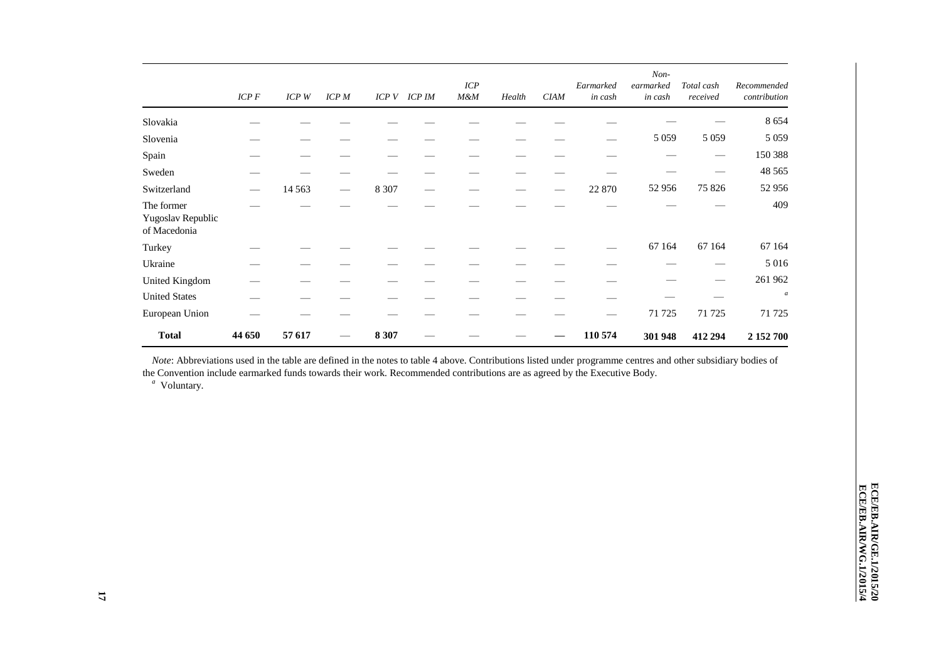|                                                 | ICP F  | ICP W   | <b>ICP</b> M | ICP V   | <b>ICP IM</b> | ICP<br>M&M | Health | <b>CIAM</b> | Earmarked<br>in cash | Non-<br>earmarked<br>in cash | Total cash<br>received | Recommended<br>contribution |
|-------------------------------------------------|--------|---------|--------------|---------|---------------|------------|--------|-------------|----------------------|------------------------------|------------------------|-----------------------------|
| Slovakia                                        |        |         |              |         |               |            |        |             |                      |                              |                        | 8 6 5 4                     |
| Slovenia                                        |        |         |              |         |               |            |        |             |                      | 5 0 5 9                      | 5 0 5 9                | 5 0 5 9                     |
| Spain                                           |        |         |              |         |               |            |        |             |                      |                              |                        | 150 388                     |
| Sweden                                          |        |         |              |         |               |            |        |             |                      |                              |                        | 48 5 65                     |
| Switzerland                                     |        | 14 5 63 |              | 8 3 0 7 |               |            |        |             | 22 870               | 52 956                       | 75 826                 | 52 956                      |
| The former<br>Yugoslav Republic<br>of Macedonia |        |         |              |         |               |            |        |             |                      |                              |                        | 409                         |
| Turkey                                          |        |         |              |         |               |            |        |             |                      | 67 164                       | 67 164                 | 67 164                      |
| Ukraine                                         |        |         |              |         |               |            |        |             |                      |                              |                        | 5 0 1 6                     |
| United Kingdom                                  |        |         |              |         |               |            |        |             |                      |                              |                        | 261 962                     |
| <b>United States</b>                            |        |         |              |         |               |            |        |             |                      |                              |                        | $\boldsymbol{a}$            |
| European Union                                  |        |         |              |         |               |            |        |             |                      | 71 725                       | 71 725                 | 71 725                      |
| <b>Total</b>                                    | 44 650 | 57 617  |              | 8 3 0 7 |               |            |        |             | 110 574              | 301 948                      | 412 294                | 2 152 700                   |

*Note*: Abbreviations used in the table are defined in the notes to table 4 above. Contributions listed under programme centres and other subsidiary bodies of the Convention include earmarked funds towards their work. Recommended contributions are as agreed by the Executive Body.

*a* Voluntary.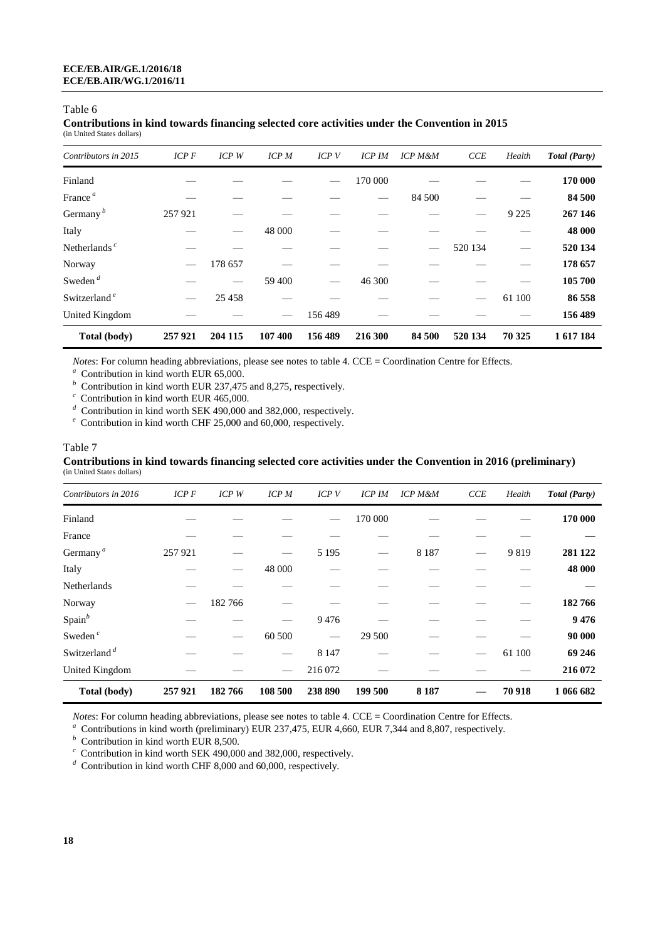#### **Contributions in kind towards financing selected core activities under the Convention in 2015** (in United States dollars)

| Contributors in 2015             | $ICP$ $F$ | $ICP$ $W$ | <b>ICP</b> M | ICPV    | <b>ICP IM</b> | <b>ICP M&amp;M</b> | CCE     | Health  | Total (Party) |
|----------------------------------|-----------|-----------|--------------|---------|---------------|--------------------|---------|---------|---------------|
| Finland                          |           |           |              |         | 170 000       |                    |         |         | 170 000       |
| France <sup><math>a</math></sup> |           |           |              |         |               | 84 500             |         |         | 84 500        |
| Germany $^b$                     | 257921    |           |              |         |               |                    |         | 9 2 2 5 | 267 146       |
| Italy                            |           |           | 48 000       |         |               |                    |         |         | 48 000        |
| Netherlands $c$                  |           |           |              |         |               |                    | 520 134 |         | 520 134       |
| Norway                           |           | 178 657   |              |         |               |                    |         |         | 178 657       |
| Sweden $d$                       |           |           | 59 400       |         | 46 300        |                    |         |         | 105 700       |
| Switzerland <sup>e</sup>         |           | 25 4 5 8  |              |         |               |                    |         | 61 100  | 86 558        |
| United Kingdom                   |           |           |              | 156489  |               |                    |         |         | 156 489       |
| Total (body)                     | 257921    | 204 115   | 107 400      | 156 489 | 216 300       | 84 500             | 520 134 | 70 325  | 1617184       |

*Notes*: For column heading abbreviations, please see notes to table 4. CCE = Coordination Centre for Effects.

*a* Contribution in kind worth EUR 65,000.

*b* Contribution in kind worth EUR 237,475 and 8,275, respectively.

*c* Contribution in kind worth EUR 465,000.

*d* Contribution in kind worth SEK 490,000 and 382,000, respectively.

*e* Contribution in kind worth CHF 25,000 and 60,000, respectively.

#### Table 7 **Contributions in kind towards financing selected core activities under the Convention in 2016 (preliminary)** (in United States dollars)

| Total (body)             | 257921       | 182766    | 108 500 | 238 890 | 199 500       | 8 1 8 7            |     | 70918  | 1 066 682     |
|--------------------------|--------------|-----------|---------|---------|---------------|--------------------|-----|--------|---------------|
| United Kingdom           |              |           |         | 216 072 |               |                    |     |        | 216 072       |
| Switzerland <sup>d</sup> |              |           |         | 8 1 4 7 |               |                    |     | 61 100 | 69 24 6       |
| Sweden $c$               |              |           | 60 500  |         | 29 500        |                    |     |        | 90 000        |
| $Span^b$                 |              |           |         | 9476    |               |                    |     |        | 9476          |
| Norway                   |              | 182766    |         |         |               |                    |     |        | 182766        |
| Netherlands              |              |           |         |         |               |                    |     |        |               |
| Italy                    |              |           | 48 000  |         |               |                    |     |        | 48 000        |
| Germany <sup>a</sup>     | 257921       |           |         | 5 1 9 5 |               | 8 1 8 7            |     | 9819   | 281 122       |
| France                   |              |           |         |         |               |                    |     |        |               |
| Finland                  |              |           |         |         | 170 000       |                    |     |        | 170 000       |
| Contributors in 2016     | <b>ICP F</b> | $ICP$ $W$ | ICPM    | ICP V   | <b>ICP IM</b> | <b>ICP M&amp;M</b> | CCE | Health | Total (Party) |
|                          |              |           |         |         |               |                    |     |        |               |

*Notes*: For column heading abbreviations, please see notes to table 4. CCE = Coordination Centre for Effects.

*a* Contributions in kind worth (preliminary) EUR 237,475, EUR 4,660, EUR 7,344 and 8,807, respectively.

*b* Contribution in kind worth EUR 8,500.

*<sup>c</sup>* Contribution in kind worth SEK 490,000 and 382,000, respectively.

*<sup>d</sup>* Contribution in kind worth CHF 8,000 and 60,000, respectively.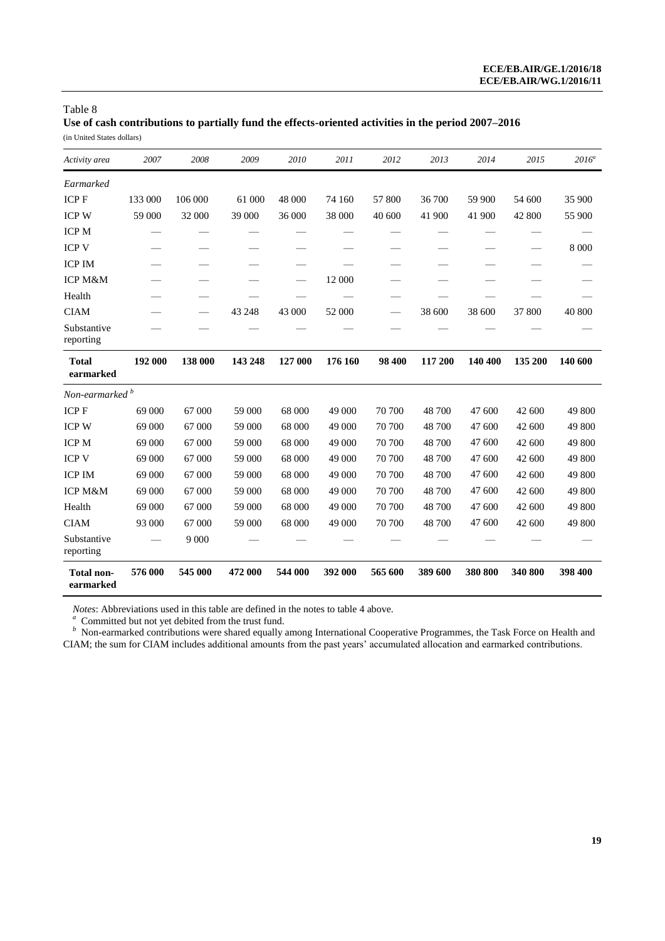**Use of cash contributions to partially fund the effects-oriented activities in the period 2007–2016** (in United States dollars)

| Activity area              | 2007    | 2008    | 2009    | 2010    | 2011    | 2012    | 2013    | 2014    | 2015    | $2016^a$ |
|----------------------------|---------|---------|---------|---------|---------|---------|---------|---------|---------|----------|
| Earmarked                  |         |         |         |         |         |         |         |         |         |          |
| <b>ICPF</b>                | 133 000 | 106 000 | 61 000  | 48 000  | 74 160  | 57 800  | 36 700  | 59 900  | 54 600  | 35 900   |
| <b>ICP W</b>               | 59 000  | 32 000  | 39 000  | 36 000  | 38 000  | 40 600  | 41 900  | 41 900  | 42 800  | 55 900   |
| <b>ICP M</b>               |         |         |         |         |         |         |         |         |         |          |
| <b>ICP V</b>               |         |         |         |         |         |         |         |         |         | 8 0 0 0  |
| <b>ICP IM</b>              |         |         |         |         |         |         |         |         |         |          |
| <b>ICP M&amp;M</b>         |         |         |         |         | 12 000  |         |         |         |         |          |
| Health                     |         |         |         |         |         |         |         |         |         |          |
| <b>CIAM</b>                |         |         | 43 248  | 43 000  | 52 000  | —       | 38 600  | 38 600  | 37 800  | 40 800   |
| Substantive<br>reporting   |         |         |         |         |         |         |         |         |         |          |
| <b>Total</b><br>earmarked  | 192 000 | 138 000 | 143 248 | 127 000 | 176 160 | 98 400  | 117 200 | 140 400 | 135 200 | 140 600  |
| Non-earmarked <sup>b</sup> |         |         |         |         |         |         |         |         |         |          |
| <b>ICPF</b>                | 69 000  | 67 000  | 59 000  | 68 000  | 49 000  | 70 700  | 48 700  | 47 600  | 42 600  | 49 800   |
| <b>ICP W</b>               | 69 000  | 67 000  | 59 000  | 68 000  | 49 000  | 70 700  | 48 700  | 47 600  | 42 600  | 49 800   |
| <b>ICP M</b>               | 69 000  | 67 000  | 59 000  | 68 000  | 49 000  | 70 700  | 48 700  | 47 600  | 42 600  | 49 800   |
| <b>ICP V</b>               | 69 000  | 67 000  | 59 000  | 68 000  | 49 000  | 70 700  | 48 700  | 47 600  | 42 600  | 49 800   |
| <b>ICP IM</b>              | 69 000  | 67 000  | 59 000  | 68 000  | 49 000  | 70 700  | 48 700  | 47 600  | 42 600  | 49 800   |
| <b>ICP M&amp;M</b>         | 69 000  | 67 000  | 59 000  | 68 000  | 49 000  | 70 700  | 48 700  | 47 600  | 42 600  | 49 800   |
| Health                     | 69 000  | 67 000  | 59 000  | 68 000  | 49 000  | 70 700  | 48 700  | 47 600  | 42 600  | 49 800   |
| <b>CIAM</b>                | 93 000  | 67 000  | 59 000  | 68 000  | 49 000  | 70 700  | 48 700  | 47 600  | 42 600  | 49 800   |
| Substantive<br>reporting   |         | 9 0 0 0 |         |         |         |         |         |         |         |          |
| Total non-<br>earmarked    | 576 000 | 545 000 | 472 000 | 544 000 | 392 000 | 565 600 | 389 600 | 380 800 | 340 800 | 398 400  |

*Notes*: Abbreviations used in this table are defined in the notes to table 4 above.<br><sup>a</sup> Committed but not yet debited from the trust fund.<br><sup>b</sup> Non-earmarked contributions were shared equally among International Cooperativ CIAM; the sum for CIAM includes additional amounts from the past years' accumulated allocation and earmarked contributions.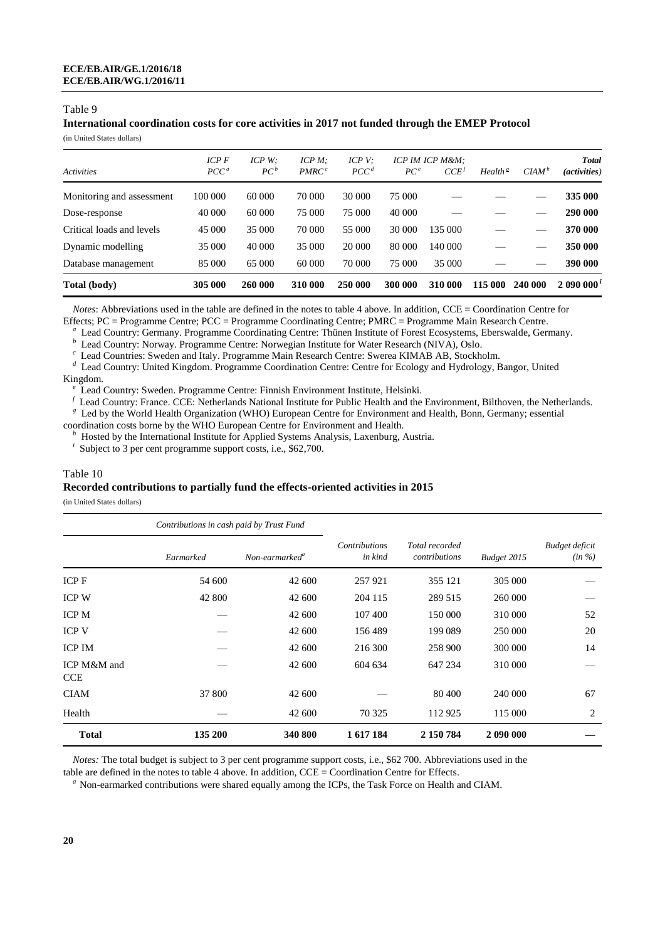### **International coordination costs for core activities in 2017 not funded through the EMEP Protocol**

(in United States dollars)

|                           | $ICP$ $F$ | ICP W:  | $ICP M$ :         | ICP V:           |                 | ICP IM ICP M&M:    |                     |          | <b>Total</b> |
|---------------------------|-----------|---------|-------------------|------------------|-----------------|--------------------|---------------------|----------|--------------|
| <b>Activities</b>         | $PCC^a$   | $PC^b$  | PMRC <sup>c</sup> | PCC <sup>d</sup> | PC <sup>e</sup> | $CCE$ <sup>f</sup> | Health <sup>g</sup> | $CIAM^h$ | (activities) |
| Monitoring and assessment | 100 000   | 60 000  | 70 000            | 30 000           | 75 000          |                    |                     |          | 335 000      |
| Dose-response             | 40 000    | 60 000  | 75 000            | 75 000           | 40 000          |                    |                     |          | 290 000      |
| Critical loads and levels | 45 000    | 35 000  | 70 000            | 55 000           | 30 000          | 135 000            |                     |          | 370 000      |
| Dynamic modelling         | 35 000    | 40 000  | 35 000            | 20 000           | 80 000          | 140 000            |                     |          | 350 000      |
| Database management       | 85 000    | 65 000  | 60 000            | 70 000           | 75 000          | 35 000             |                     |          | 390 000      |
| Total (body)              | 305 000   | 260 000 | 310 000           | 250 000          | 300 000         | 310 000            | 115 000             | 240 000  | 2090000'     |

*Notes*: Abbreviations used in the table are defined in the notes to table 4 above. In addition, CCE = Coordination Centre for Effects; PC = Programme Centre; PCC = Programme Coordinating Centre; PMRC = Programme Main Research Centre.

*a* Lead Country: Germany. Programme Coordinating Centre: Thünen Institute of Forest Ecosystems, Eberswalde, Germany.

**b** Lead Country: Norway. Programme Centre: Norwegian Institute for Water Research (NIVA), Oslo.

*c* Lead Countries: Sweden and Italy. Programme Main Research Centre: Swerea KIMAB AB, Stockholm.

*d* Lead Country: United Kingdom. Programme Coordination Centre: Centre for Ecology and Hydrology, Bangor, United

#### Kingdom.

*e* Lead Country: Sweden. Programme Centre: Finnish Environment Institute, Helsinki.

*f* Lead Country: France. CCE: Netherlands National Institute for Public Health and the Environment, Bilthoven, the Netherlands.

*g* Led by the World Health Organization (WHO) European Centre for Environment and Health, Bonn, Germany; essential coordination costs borne by the WHO European Centre for Environment and Health.

<sup>h</sup> Hosted by the International Institute for Applied Systems Analysis, Laxenburg, Austria.

*i* Subject to 3 per cent programme support costs, i.e., \$62,700.

#### Table 10

#### **Recorded contributions to partially fund the effects-oriented activities in 2015**

(in United States dollars)

|                           | Contributions in cash paid by Trust Fund |                            |                                 |                                 |             |                             |
|---------------------------|------------------------------------------|----------------------------|---------------------------------|---------------------------------|-------------|-----------------------------|
|                           | Earmarked                                | Non-earmarked <sup>a</sup> | <b>Contributions</b><br>in kind | Total recorded<br>contributions | Budget 2015 | Budget deficit<br>$(in \%)$ |
| ICP F                     | 54 600                                   | 42 600                     | 257921                          | 355 121                         | 305 000     |                             |
| <b>ICP W</b>              | 42 800                                   | 42 600                     | 204 115                         | 289 515                         | 260 000     |                             |
| <b>ICP M</b>              |                                          | 42 600                     | 107 400                         | 150 000                         | 310 000     | 52                          |
| <b>ICP V</b>              |                                          | 42 600                     | 156489                          | 199 089                         | 250 000     | 20                          |
| <b>ICP IM</b>             |                                          | 42 600                     | 216 300                         | 258 900                         | 300 000     | 14                          |
| ICP M&M and<br><b>CCE</b> |                                          | 42 600                     | 604 634                         | 647 234                         | 310 000     |                             |
| <b>CIAM</b>               | 37 800                                   | 42 600                     |                                 | 80 400                          | 240 000     | 67                          |
| Health                    |                                          | 42 600                     | 70 325                          | 112 925                         | 115 000     | 2                           |
| <b>Total</b>              | 135 200                                  | 340 800                    | 1 617 184                       | 2 150 784                       | 2 090 000   |                             |

*Notes:* The total budget is subject to 3 per cent programme support costs, i.e., \$62 700. Abbreviations used in the

table are defined in the notes to table 4 above. In addition, CCE = Coordination Centre for Effects.

<sup>a</sup> Non-earmarked contributions were shared equally among the ICPs, the Task Force on Health and CIAM.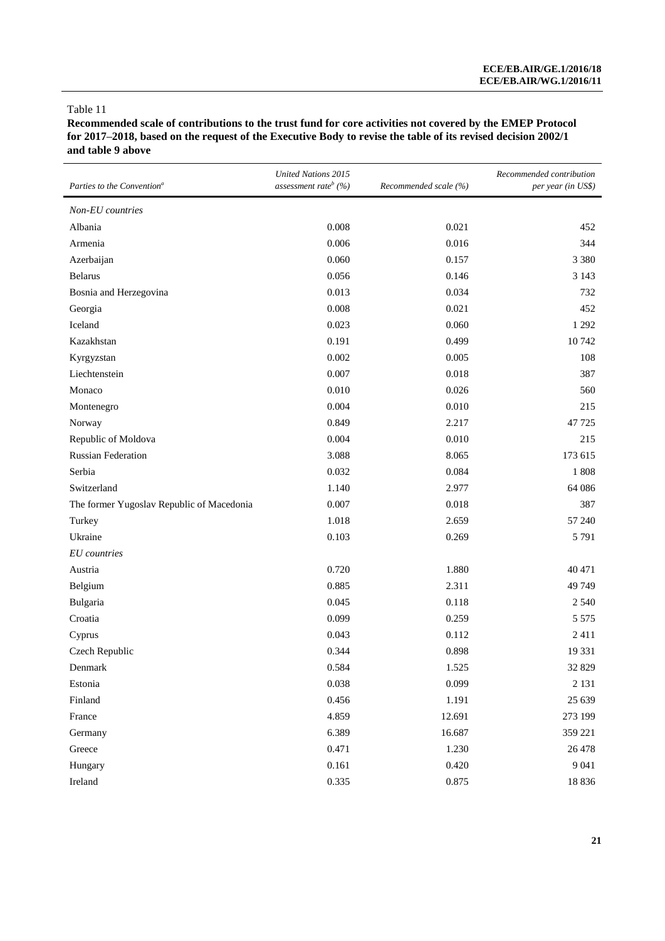**Recommended scale of contributions to the trust fund for core activities not covered by the EMEP Protocol for 2017–2018, based on the request of the Executive Body to revise the table of its revised decision 2002/1 and table 9 above**

| Parties to the Convention <sup>a</sup>    | <b>United Nations 2015</b><br>assessment rate <sup>b</sup> $(%)$ | Recommended scale (%) | Recommended contribution<br>per year (in US\$) |
|-------------------------------------------|------------------------------------------------------------------|-----------------------|------------------------------------------------|
| Non-EU countries                          |                                                                  |                       |                                                |
| Albania                                   | 0.008                                                            | 0.021                 | 452                                            |
| Armenia                                   | 0.006                                                            | 0.016                 | 344                                            |
| Azerbaijan                                | 0.060                                                            | 0.157                 | 3 3 8 0                                        |
| <b>Belarus</b>                            | 0.056                                                            | 0.146                 | 3 1 4 3                                        |
| Bosnia and Herzegovina                    | 0.013                                                            | 0.034                 | 732                                            |
| Georgia                                   | 0.008                                                            | 0.021                 | 452                                            |
| Iceland                                   | 0.023                                                            | 0.060                 | 1 2 9 2                                        |
| Kazakhstan                                | 0.191                                                            | 0.499                 | 10742                                          |
| Kyrgyzstan                                | 0.002                                                            | 0.005                 | 108                                            |
| Liechtenstein                             | 0.007                                                            | 0.018                 | 387                                            |
| Monaco                                    | 0.010                                                            | 0.026                 | 560                                            |
| Montenegro                                | 0.004                                                            | 0.010                 | 215                                            |
| Norway                                    | 0.849                                                            | 2.217                 | 47725                                          |
| Republic of Moldova                       | 0.004                                                            | 0.010                 | 215                                            |
| <b>Russian Federation</b>                 | 3.088                                                            | 8.065                 | 173 615                                        |
| Serbia                                    | 0.032                                                            | 0.084                 | 1808                                           |
| Switzerland                               | 1.140                                                            | 2.977                 | 64 08 6                                        |
| The former Yugoslav Republic of Macedonia | 0.007                                                            | 0.018                 | 387                                            |
| Turkey                                    | 1.018                                                            | 2.659                 | 57 240                                         |
| Ukraine                                   | 0.103                                                            | 0.269                 | 5791                                           |
| <b>EU</b> countries                       |                                                                  |                       |                                                |
| Austria                                   | 0.720                                                            | 1.880                 | 40 471                                         |
| Belgium                                   | 0.885                                                            | 2.311                 | 49 749                                         |
| Bulgaria                                  | 0.045                                                            | 0.118                 | 2.540                                          |
| Croatia                                   | 0.099                                                            | 0.259                 | 5 5 7 5                                        |
| Cyprus                                    | 0.043                                                            | 0.112                 | 2411                                           |
| Czech Republic                            | 0.344                                                            | 0.898                 | 19 3 31                                        |
| Denmark                                   | 0.584                                                            | 1.525                 | 32 829                                         |
| Estonia                                   | 0.038                                                            | 0.099                 | 2 1 3 1                                        |
| Finland                                   | 0.456                                                            | 1.191                 | 25 639                                         |
| France                                    | 4.859                                                            | 12.691                | 273 199                                        |
| Germany                                   | 6.389                                                            | 16.687                | 359 221                                        |
| Greece                                    | 0.471                                                            | 1.230                 | 26 478                                         |
| Hungary                                   | 0.161                                                            | 0.420                 | 9 0 4 1                                        |
| Ireland                                   | 0.335                                                            | 0.875                 | 18836                                          |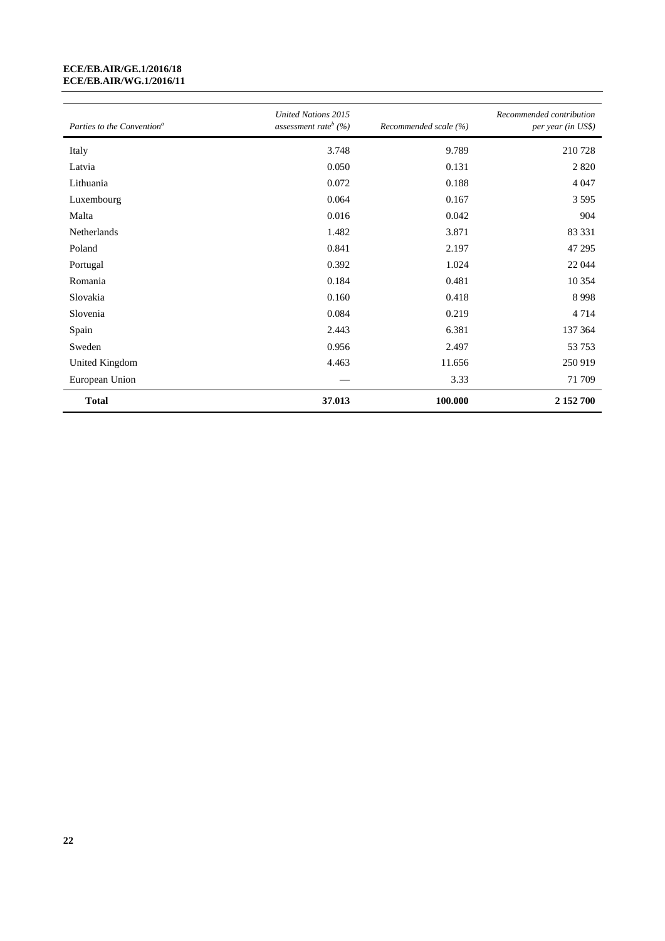#### **ECE/EB.AIR/GE.1/2016/18 ECE/EB.AIR/WG.1/2016/11**

| Parties to the Convention <sup>a</sup> | <b>United Nations 2015</b><br>assessment rate <sup>b</sup> $(%)$ | Recommended scale (%) | Recommended contribution<br>per year (in US\$) |
|----------------------------------------|------------------------------------------------------------------|-----------------------|------------------------------------------------|
| Italy                                  | 3.748                                                            | 9.789                 | 210728                                         |
| Latvia                                 | 0.050                                                            | 0.131                 | 2 8 2 0                                        |
| Lithuania                              | 0.072                                                            | 0.188                 | 4 0 4 7                                        |
| Luxembourg                             | 0.064                                                            | 0.167                 | 3 5 9 5                                        |
| Malta                                  | 0.016                                                            | 0.042                 | 904                                            |
| Netherlands                            | 1.482                                                            | 3.871                 | 83 331                                         |
| Poland                                 | 0.841                                                            | 2.197                 | 47 29 5                                        |
| Portugal                               | 0.392                                                            | 1.024                 | 22 044                                         |
| Romania                                | 0.184                                                            | 0.481                 | 10 3 5 4                                       |
| Slovakia                               | 0.160                                                            | 0.418                 | 8998                                           |
| Slovenia                               | 0.084                                                            | 0.219                 | 4714                                           |
| Spain                                  | 2.443                                                            | 6.381                 | 137 364                                        |
| Sweden                                 | 0.956                                                            | 2.497                 | 53753                                          |
| United Kingdom                         | 4.463                                                            | 11.656                | 250 919                                        |
| European Union                         |                                                                  | 3.33                  | 71 709                                         |
| <b>Total</b>                           | 37.013                                                           | 100.000               | 2 152 700                                      |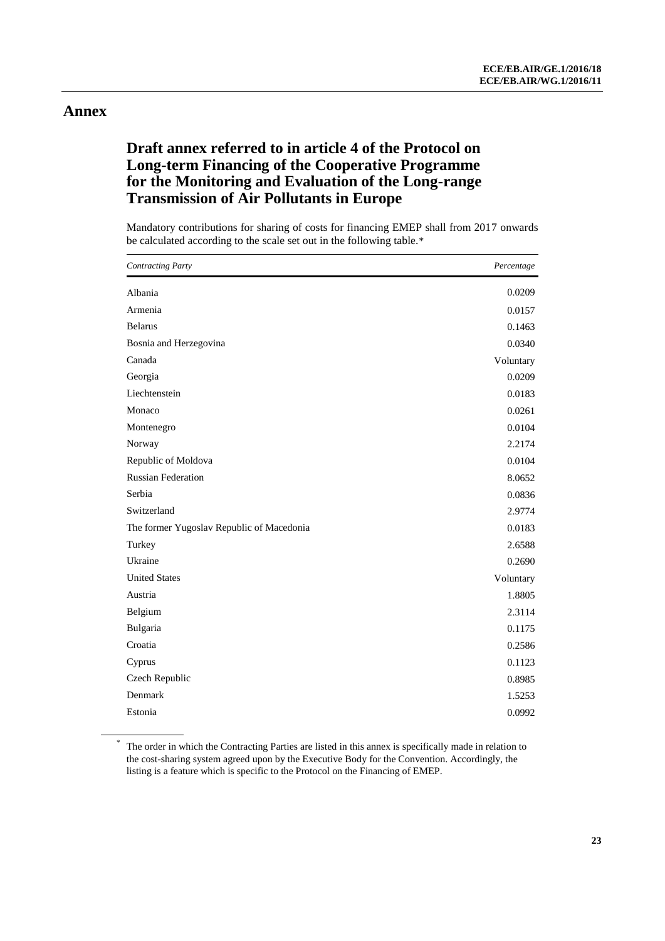# **Annex**

# **Draft annex referred to in article 4 of the Protocol on Long-term Financing of the Cooperative Programme for the Monitoring and Evaluation of the Long-range Transmission of Air Pollutants in Europe**

Mandatory contributions for sharing of costs for financing EMEP shall from 2017 onwards be calculated according to the scale set out in the following table.\*

| <b>Contracting Party</b>                  | Percentage |
|-------------------------------------------|------------|
| Albania                                   | 0.0209     |
| Armenia                                   | 0.0157     |
| <b>Belarus</b>                            | 0.1463     |
| Bosnia and Herzegovina                    | 0.0340     |
| Canada                                    | Voluntary  |
| Georgia                                   | 0.0209     |
| Liechtenstein                             | 0.0183     |
| Monaco                                    | 0.0261     |
| Montenegro                                | 0.0104     |
| Norway                                    | 2.2174     |
| Republic of Moldova                       | 0.0104     |
| <b>Russian Federation</b>                 | 8.0652     |
| Serbia                                    | 0.0836     |
| Switzerland                               | 2.9774     |
| The former Yugoslav Republic of Macedonia | 0.0183     |
| Turkey                                    | 2.6588     |
| Ukraine                                   | 0.2690     |
| <b>United States</b>                      | Voluntary  |
| Austria                                   | 1.8805     |
| Belgium                                   | 2.3114     |
| Bulgaria                                  | 0.1175     |
| Croatia                                   | 0.2586     |
| Cyprus                                    | 0.1123     |
| Czech Republic                            | 0.8985     |
| Denmark                                   | 1.5253     |
| Estonia                                   | 0.0992     |

\* The order in which the Contracting Parties are listed in this annex is specifically made in relation to the cost-sharing system agreed upon by the Executive Body for the Convention. Accordingly, the listing is a feature which is specific to the Protocol on the Financing of EMEP.